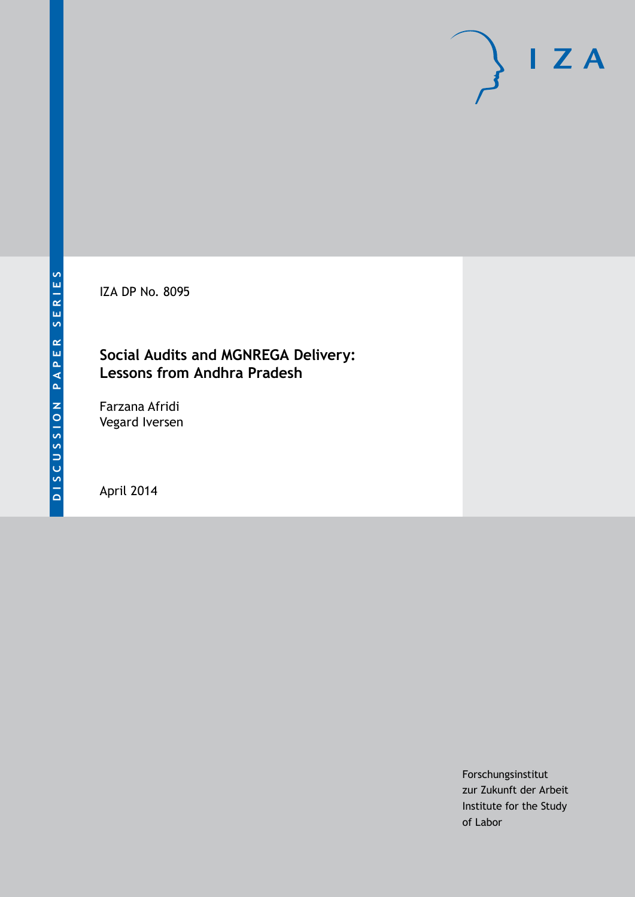IZA DP No. 8095

# **Social Audits and MGNREGA Delivery: Lessons from Andhra Pradesh**

Farzana Afridi Vegard Iversen

April 2014

Forschungsinstitut zur Zukunft der Arbeit Institute for the Study of Labor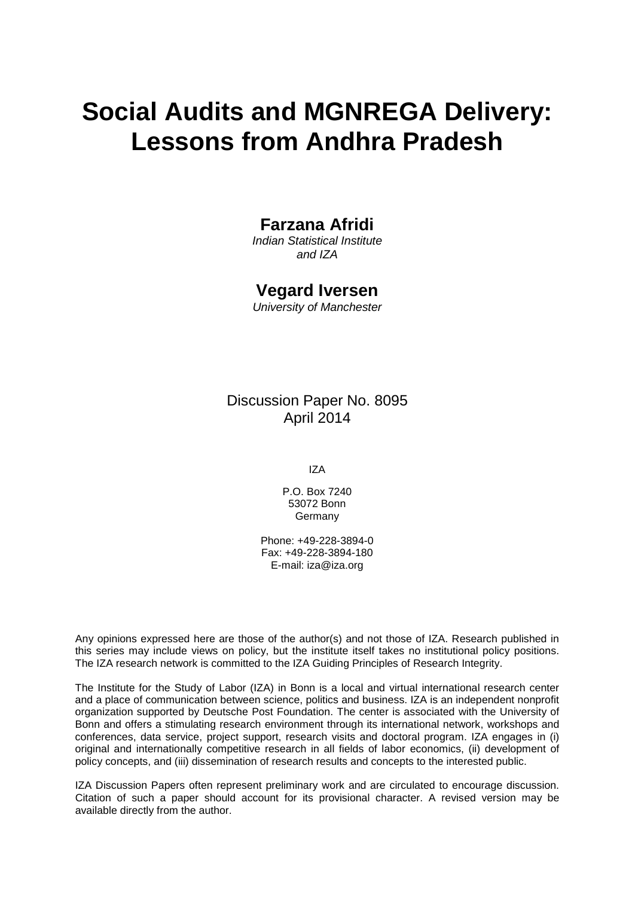# **Social Audits and MGNREGA Delivery: Lessons from Andhra Pradesh**

# **Farzana Afridi**

*Indian Statistical Institute and IZA*

# **Vegard Iversen**

*University of Manchester*

Discussion Paper No. 8095 April 2014

IZA

P.O. Box 7240 53072 Bonn Germany

Phone: +49-228-3894-0 Fax: +49-228-3894-180 E-mail: [iza@iza.org](mailto:iza@iza.org)

Any opinions expressed here are those of the author(s) and not those of IZA. Research published in this series may include views on policy, but the institute itself takes no institutional policy positions. The IZA research network is committed to the IZA Guiding Principles of Research Integrity.

The Institute for the Study of Labor (IZA) in Bonn is a local and virtual international research center and a place of communication between science, politics and business. IZA is an independent nonprofit organization supported by Deutsche Post Foundation. The center is associated with the University of Bonn and offers a stimulating research environment through its international network, workshops and conferences, data service, project support, research visits and doctoral program. IZA engages in (i) original and internationally competitive research in all fields of labor economics, (ii) development of policy concepts, and (iii) dissemination of research results and concepts to the interested public.

<span id="page-1-0"></span>IZA Discussion Papers often represent preliminary work and are circulated to encourage discussion. Citation of such a paper should account for its provisional character. A revised version may be available directly from the author.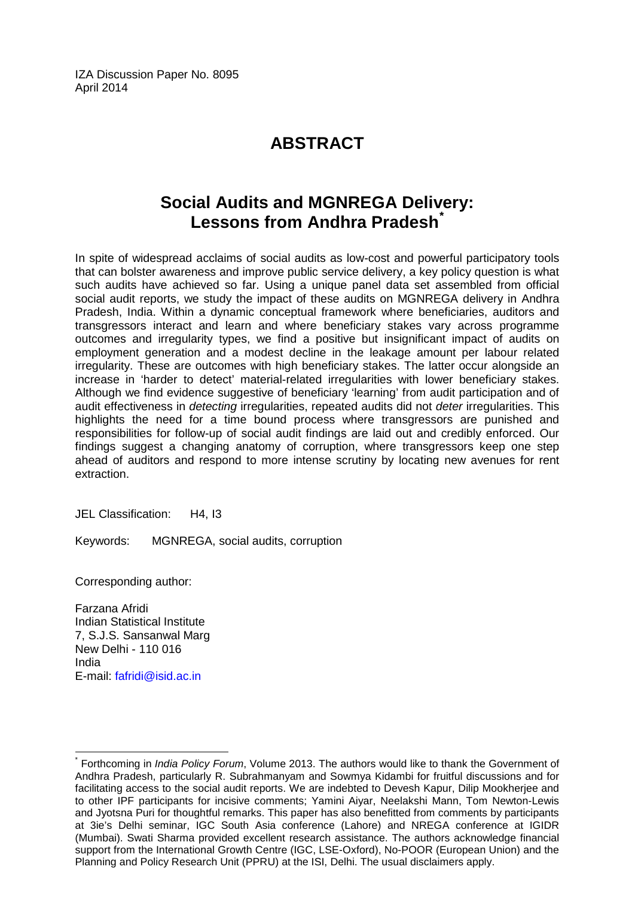IZA Discussion Paper No. 8095 April 2014

# **ABSTRACT**

# **Social Audits and MGNREGA Delivery: Lessons from Andhra Pradesh[\\*](#page-1-0)**

In spite of widespread acclaims of social audits as low-cost and powerful participatory tools that can bolster awareness and improve public service delivery, a key policy question is what such audits have achieved so far. Using a unique panel data set assembled from official social audit reports, we study the impact of these audits on MGNREGA delivery in Andhra Pradesh, India. Within a dynamic conceptual framework where beneficiaries, auditors and transgressors interact and learn and where beneficiary stakes vary across programme outcomes and irregularity types, we find a positive but insignificant impact of audits on employment generation and a modest decline in the leakage amount per labour related irregularity. These are outcomes with high beneficiary stakes. The latter occur alongside an increase in 'harder to detect' material-related irregularities with lower beneficiary stakes. Although we find evidence suggestive of beneficiary 'learning' from audit participation and of audit effectiveness in *detecting* irregularities, repeated audits did not *deter* irregularities. This highlights the need for a time bound process where transgressors are punished and responsibilities for follow-up of social audit findings are laid out and credibly enforced. Our findings suggest a changing anatomy of corruption, where transgressors keep one step ahead of auditors and respond to more intense scrutiny by locating new avenues for rent extraction.

JEL Classification: H4, I3

Keywords: MGNREGA, social audits, corruption

Corresponding author:

Farzana Afridi Indian Statistical Institute 7, S.J.S. Sansanwal Marg New Delhi - 110 016 India E-mail: [fafridi@isid.ac.in](mailto:fafridi@isid.ac.in)

\* Forthcoming in *India Policy Forum*, Volume 2013. The authors would like to thank the Government of Andhra Pradesh, particularly R. Subrahmanyam and Sowmya Kidambi for fruitful discussions and for facilitating access to the social audit reports. We are indebted to Devesh Kapur, Dilip Mookherjee and to other IPF participants for incisive comments; Yamini Aiyar, Neelakshi Mann, Tom Newton-Lewis and Jyotsna Puri for thoughtful remarks. This paper has also benefitted from comments by participants at 3ie's Delhi seminar, IGC South Asia conference (Lahore) and NREGA conference at IGIDR (Mumbai). Swati Sharma provided excellent research assistance. The authors acknowledge financial support from the International Growth Centre (IGC, LSE-Oxford), No-POOR (European Union) and the Planning and Policy Research Unit (PPRU) at the ISI, Delhi. The usual disclaimers apply.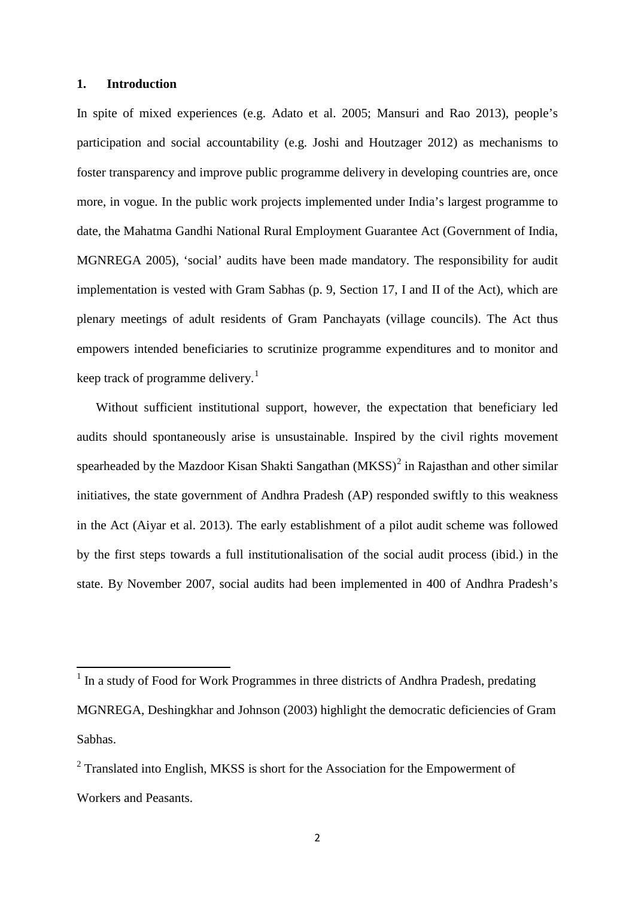#### **1. Introduction**

In spite of mixed experiences (e.g. Adato et al. 2005; Mansuri and Rao 2013), people's participation and social accountability (e.g. Joshi and Houtzager 2012) as mechanisms to foster transparency and improve public programme delivery in developing countries are, once more, in vogue. In the public work projects implemented under India's largest programme to date, the Mahatma Gandhi National Rural Employment Guarantee Act (Government of India, MGNREGA 2005), 'social' audits have been made mandatory. The responsibility for audit implementation is vested with Gram Sabhas (p. 9, Section 17, I and II of the Act), which are plenary meetings of adult residents of Gram Panchayats (village councils). The Act thus empowers intended beneficiaries to scrutinize programme expenditures and to monitor and keep track of programme delivery.<sup>1</sup>

Without sufficient institutional support, however, the expectation that beneficiary led audits should spontaneously arise is unsustainable. Inspired by the civil rights movement spearheaded by the Mazdoor Kisan Shakti Sangathan  $(MKSS)^2$  $(MKSS)^2$  in Rajasthan and other similar initiatives, the state government of Andhra Pradesh (AP) responded swiftly to this weakness in the Act (Aiyar et al. 2013). The early establishment of a pilot audit scheme was followed by the first steps towards a full institutionalisation of the social audit process (ibid.) in the state. By November 2007, social audits had been implemented in 400 of Andhra Pradesh's

<span id="page-3-1"></span><sup>&</sup>lt;sup>1</sup> In a study of Food for Work Programmes in three districts of Andhra Pradesh, predating MGNREGA, Deshingkhar and Johnson (2003) highlight the democratic deficiencies of Gram Sabhas.

<span id="page-3-0"></span><sup>&</sup>lt;sup>2</sup> Translated into English, MKSS is short for the Association for the Empowerment of Workers and Peasants.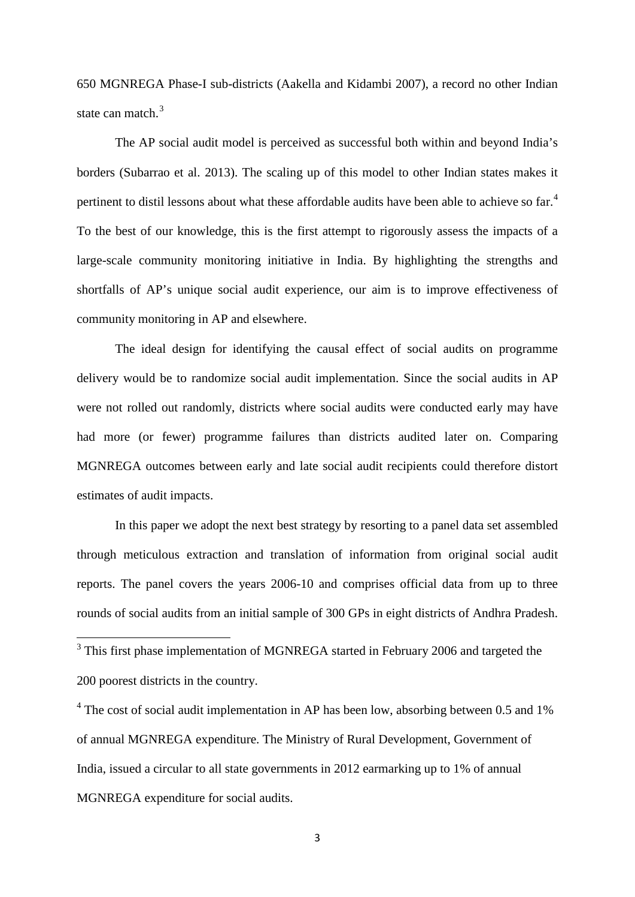650 MGNREGA Phase-I sub-districts (Aakella and Kidambi 2007), a record no other Indian state can match.<sup>[3](#page-3-1)</sup>

The AP social audit model is perceived as successful both within and beyond India's borders (Subarrao et al. 2013). The scaling up of this model to other Indian states makes it pertinent to distil lessons about what these affordable audits have been able to achieve so far.<sup>[4](#page-4-0)</sup> To the best of our knowledge, this is the first attempt to rigorously assess the impacts of a large-scale community monitoring initiative in India. By highlighting the strengths and shortfalls of AP's unique social audit experience, our aim is to improve effectiveness of community monitoring in AP and elsewhere.

The ideal design for identifying the causal effect of social audits on programme delivery would be to randomize social audit implementation. Since the social audits in AP were not rolled out randomly, districts where social audits were conducted early may have had more (or fewer) programme failures than districts audited later on. Comparing MGNREGA outcomes between early and late social audit recipients could therefore distort estimates of audit impacts.

In this paper we adopt the next best strategy by resorting to a panel data set assembled through meticulous extraction and translation of information from original social audit reports. The panel covers the years 2006-10 and comprises official data from up to three rounds of social audits from an initial sample of 300 GPs in eight districts of Andhra Pradesh.

<sup>3</sup> This first phase implementation of MGNREGA started in February 2006 and targeted the 200 poorest districts in the country.

<span id="page-4-0"></span> $4$  The cost of social audit implementation in AP has been low, absorbing between 0.5 and 1% of annual MGNREGA expenditure. The Ministry of Rural Development, Government of India, issued a circular to all state governments in 2012 earmarking up to 1% of annual MGNREGA expenditure for social audits.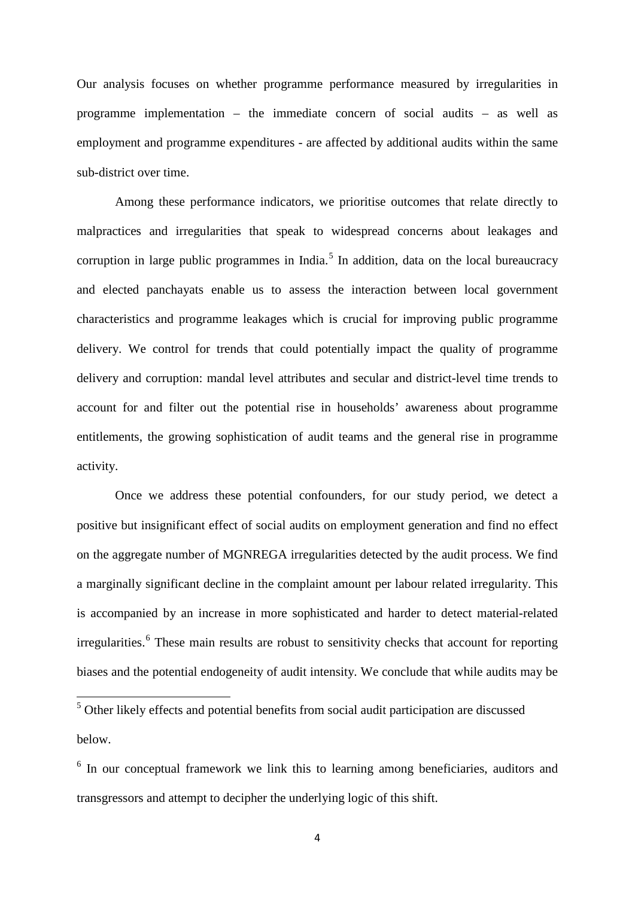Our analysis focuses on whether programme performance measured by irregularities in programme implementation – the immediate concern of social audits – as well as employment and programme expenditures - are affected by additional audits within the same sub-district over time.

Among these performance indicators, we prioritise outcomes that relate directly to malpractices and irregularities that speak to widespread concerns about leakages and corruption in large public programmes in India.<sup>[5](#page-4-0)</sup> In addition, data on the local bureaucracy and elected panchayats enable us to assess the interaction between local government characteristics and programme leakages which is crucial for improving public programme delivery. We control for trends that could potentially impact the quality of programme delivery and corruption: mandal level attributes and secular and district-level time trends to account for and filter out the potential rise in households' awareness about programme entitlements, the growing sophistication of audit teams and the general rise in programme activity.

Once we address these potential confounders, for our study period, we detect a positive but insignificant effect of social audits on employment generation and find no effect on the aggregate number of MGNREGA irregularities detected by the audit process. We find a marginally significant decline in the complaint amount per labour related irregularity. This is accompanied by an increase in more sophisticated and harder to detect material-related irregularities.<sup>[6](#page-5-0)</sup> These main results are robust to sensitivity checks that account for reporting biases and the potential endogeneity of audit intensity. We conclude that while audits may be

<sup>5</sup> Other likely effects and potential benefits from social audit participation are discussed below.

<span id="page-5-0"></span><sup>&</sup>lt;sup>6</sup> In our conceptual framework we link this to learning among beneficiaries, auditors and transgressors and attempt to decipher the underlying logic of this shift.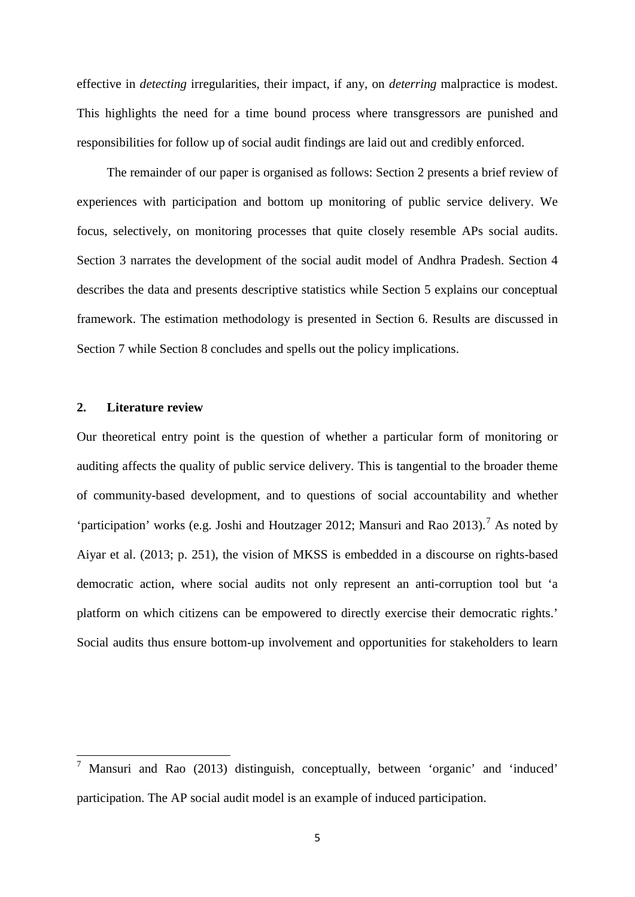effective in *detecting* irregularities, their impact, if any, on *deterring* malpractice is modest. This highlights the need for a time bound process where transgressors are punished and responsibilities for follow up of social audit findings are laid out and credibly enforced.

The remainder of our paper is organised as follows: Section 2 presents a brief review of experiences with participation and bottom up monitoring of public service delivery. We focus, selectively, on monitoring processes that quite closely resemble APs social audits. Section 3 narrates the development of the social audit model of Andhra Pradesh. Section 4 describes the data and presents descriptive statistics while Section 5 explains our conceptual framework. The estimation methodology is presented in Section 6. Results are discussed in Section 7 while Section 8 concludes and spells out the policy implications.

#### **2. Literature review**

<span id="page-6-0"></span>Our theoretical entry point is the question of whether a particular form of monitoring or auditing affects the quality of public service delivery. This is tangential to the broader theme of community-based development, and to questions of social accountability and whether 'participation' works (e.g. Joshi and Houtzager 2012; Mansuri and Rao 2013).<sup>[7](#page-5-0)</sup> As noted by Aiyar et al. (2013; p. 251), the vision of MKSS is embedded in a discourse on rights-based democratic action, where social audits not only represent an anti-corruption tool but 'a platform on which citizens can be empowered to directly exercise their democratic rights.' Social audits thus ensure bottom-up involvement and opportunities for stakeholders to learn

<sup>7</sup> Mansuri and Rao (2013) distinguish, conceptually, between 'organic' and 'induced' participation. The AP social audit model is an example of induced participation.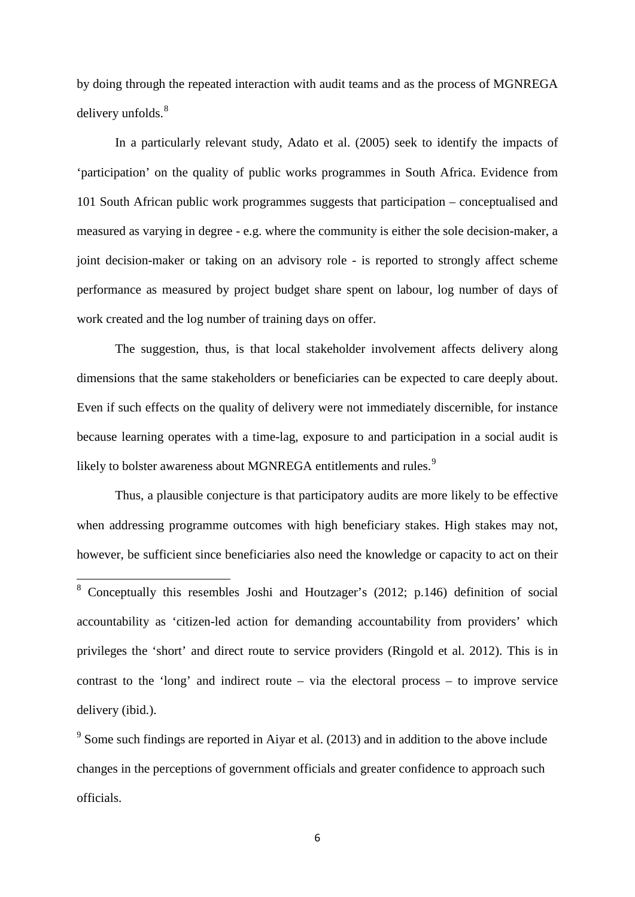by doing through the repeated interaction with audit teams and as the process of MGNREGA delivery unfolds.<sup>[8](#page-6-0)</sup>

In a particularly relevant study, Adato et al. (2005) seek to identify the impacts of 'participation' on the quality of public works programmes in South Africa. Evidence from 101 South African public work programmes suggests that participation – conceptualised and measured as varying in degree - e.g. where the community is either the sole decision-maker, a joint decision-maker or taking on an advisory role - is reported to strongly affect scheme performance as measured by project budget share spent on labour, log number of days of work created and the log number of training days on offer.

The suggestion, thus, is that local stakeholder involvement affects delivery along dimensions that the same stakeholders or beneficiaries can be expected to care deeply about. Even if such effects on the quality of delivery were not immediately discernible, for instance because learning operates with a time-lag, exposure to and participation in a social audit is likely to bolster awareness about MGNREGA entitlements and rules.<sup>[9](#page-7-0)</sup>

Thus, a plausible conjecture is that participatory audits are more likely to be effective when addressing programme outcomes with high beneficiary stakes. High stakes may not, however, be sufficient since beneficiaries also need the knowledge or capacity to act on their

 <sup>8</sup> Conceptually this resembles Joshi and Houtzager's (2012; p.146) definition of social accountability as 'citizen-led action for demanding accountability from providers' which privileges the 'short' and direct route to service providers (Ringold et al. 2012). This is in contrast to the 'long' and indirect route – via the electoral process – to improve service delivery (ibid.).

<span id="page-7-1"></span><span id="page-7-0"></span> $9$  Some such findings are reported in Aiyar et al. (2013) and in addition to the above include changes in the perceptions of government officials and greater confidence to approach such officials.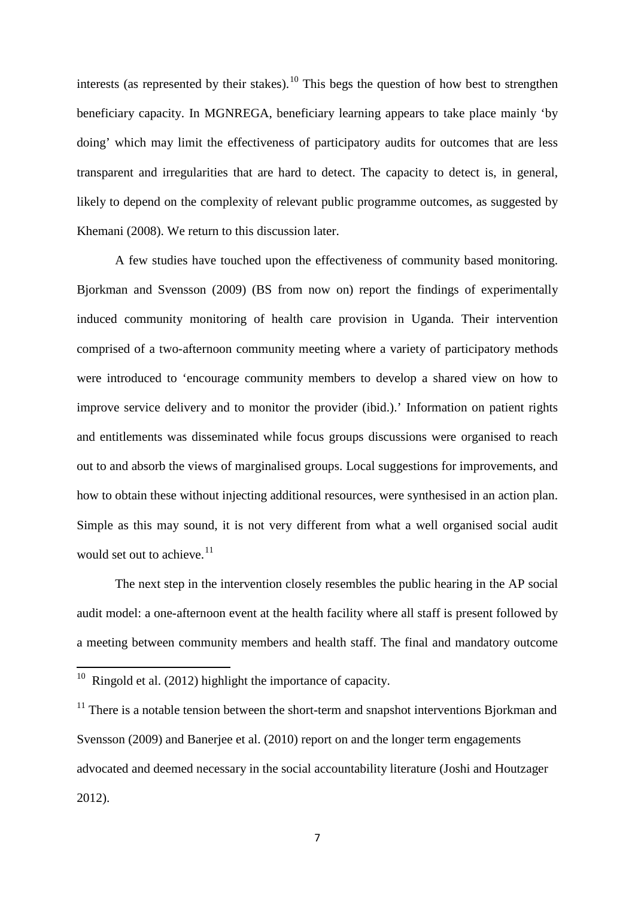interests (as represented by their stakes).<sup>[10](#page-7-1)</sup> This begs the question of how best to strengthen beneficiary capacity. In MGNREGA, beneficiary learning appears to take place mainly 'by doing' which may limit the effectiveness of participatory audits for outcomes that are less transparent and irregularities that are hard to detect. The capacity to detect is, in general, likely to depend on the complexity of relevant public programme outcomes, as suggested by Khemani (2008). We return to this discussion later.

A few studies have touched upon the effectiveness of community based monitoring. Bjorkman and Svensson (2009) (BS from now on) report the findings of experimentally induced community monitoring of health care provision in Uganda. Their intervention comprised of a two-afternoon community meeting where a variety of participatory methods were introduced to 'encourage community members to develop a shared view on how to improve service delivery and to monitor the provider (ibid.).' Information on patient rights and entitlements was disseminated while focus groups discussions were organised to reach out to and absorb the views of marginalised groups. Local suggestions for improvements, and how to obtain these without injecting additional resources, were synthesised in an action plan. Simple as this may sound, it is not very different from what a well organised social audit would set out to achieve.<sup>[11](#page-8-0)</sup>

The next step in the intervention closely resembles the public hearing in the AP social audit model: a one-afternoon event at the health facility where all staff is present followed by a meeting between community members and health staff. The final and mandatory outcome

<span id="page-8-1"></span> $10$  Ringold et al. (2012) highlight the importance of capacity.

<span id="page-8-0"></span><sup>&</sup>lt;sup>11</sup> There is a notable tension between the short-term and snapshot interventions Bjorkman and Svensson (2009) and Banerjee et al. (2010) report on and the longer term engagements advocated and deemed necessary in the social accountability literature (Joshi and Houtzager 2012).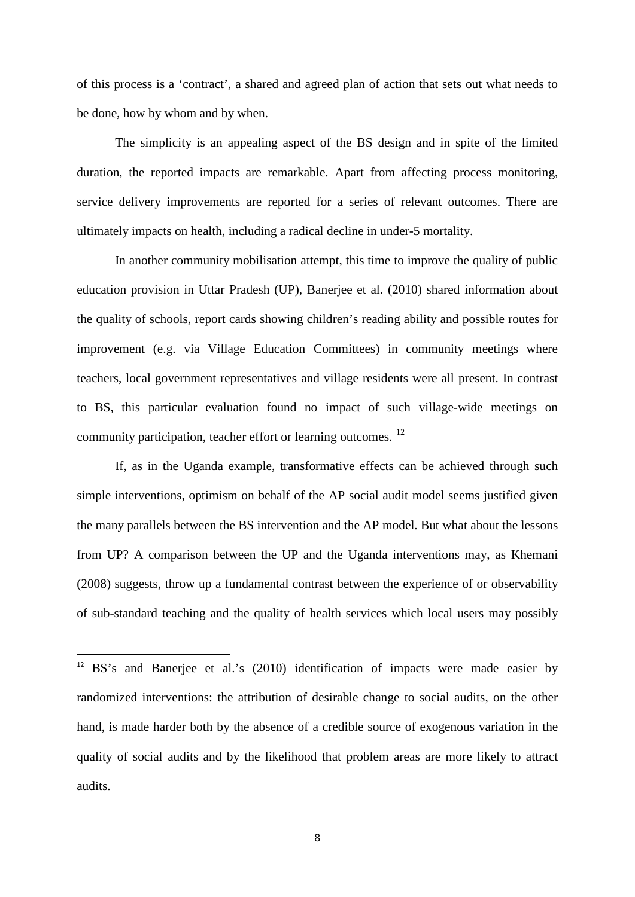of this process is a 'contract', a shared and agreed plan of action that sets out what needs to be done, how by whom and by when.

The simplicity is an appealing aspect of the BS design and in spite of the limited duration, the reported impacts are remarkable. Apart from affecting process monitoring, service delivery improvements are reported for a series of relevant outcomes. There are ultimately impacts on health, including a radical decline in under-5 mortality.

In another community mobilisation attempt, this time to improve the quality of public education provision in Uttar Pradesh (UP), Banerjee et al. (2010) shared information about the quality of schools, report cards showing children's reading ability and possible routes for improvement (e.g. via Village Education Committees) in community meetings where teachers, local government representatives and village residents were all present. In contrast to BS, this particular evaluation found no impact of such village-wide meetings on community participation, teacher effort or learning outcomes. [12](#page-8-1) 

If, as in the Uganda example, transformative effects can be achieved through such simple interventions, optimism on behalf of the AP social audit model seems justified given the many parallels between the BS intervention and the AP model. But what about the lessons from UP? A comparison between the UP and the Uganda interventions may, as Khemani (2008) suggests, throw up a fundamental contrast between the experience of or observability of sub-standard teaching and the quality of health services which local users may possibly

<span id="page-9-0"></span> <sup>12</sup> BS's and Banerjee et al.'s (2010) identification of impacts were made easier by randomized interventions: the attribution of desirable change to social audits, on the other hand, is made harder both by the absence of a credible source of exogenous variation in the quality of social audits and by the likelihood that problem areas are more likely to attract audits.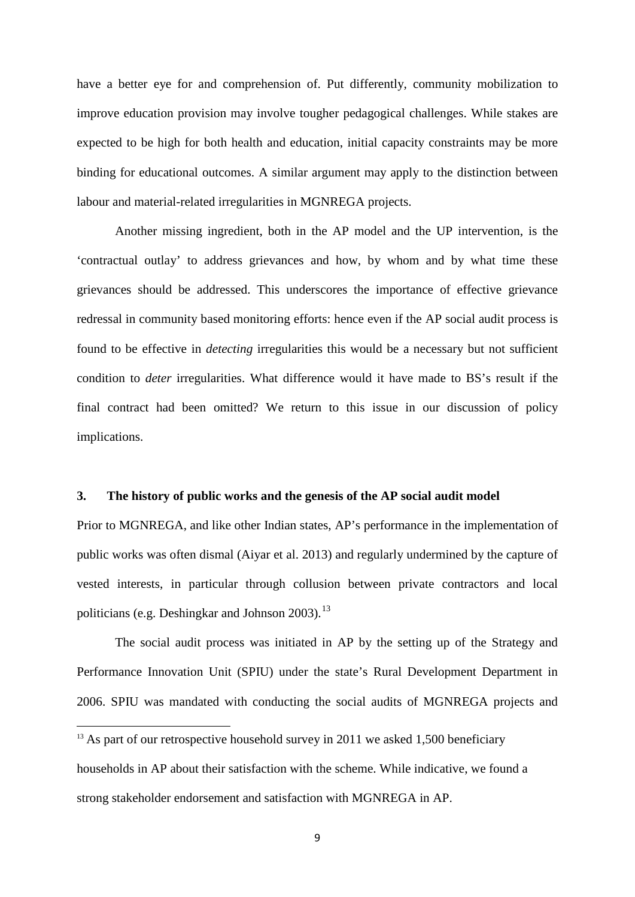have a better eye for and comprehension of. Put differently, community mobilization to improve education provision may involve tougher pedagogical challenges. While stakes are expected to be high for both health and education, initial capacity constraints may be more binding for educational outcomes. A similar argument may apply to the distinction between labour and material-related irregularities in MGNREGA projects.

Another missing ingredient, both in the AP model and the UP intervention, is the 'contractual outlay' to address grievances and how, by whom and by what time these grievances should be addressed. This underscores the importance of effective grievance redressal in community based monitoring efforts: hence even if the AP social audit process is found to be effective in *detecting* irregularities this would be a necessary but not sufficient condition to *deter* irregularities. What difference would it have made to BS's result if the final contract had been omitted? We return to this issue in our discussion of policy implications.

#### **3. The history of public works and the genesis of the AP social audit model**

Prior to MGNREGA, and like other Indian states, AP's performance in the implementation of public works was often dismal (Aiyar et al. 2013) and regularly undermined by the capture of vested interests, in particular through collusion between private contractors and local politicians (e.g. Deshingkar and Johnson 2003).<sup>[13](#page-9-0)</sup>

<span id="page-10-0"></span>The social audit process was initiated in AP by the setting up of the Strategy and Performance Innovation Unit (SPIU) under the state's Rural Development Department in 2006. SPIU was mandated with conducting the social audits of MGNREGA projects and

**.** 

households in AP about their satisfaction with the scheme. While indicative, we found a strong stakeholder endorsement and satisfaction with MGNREGA in AP.

 $13$  As part of our retrospective household survey in 2011 we asked 1,500 beneficiary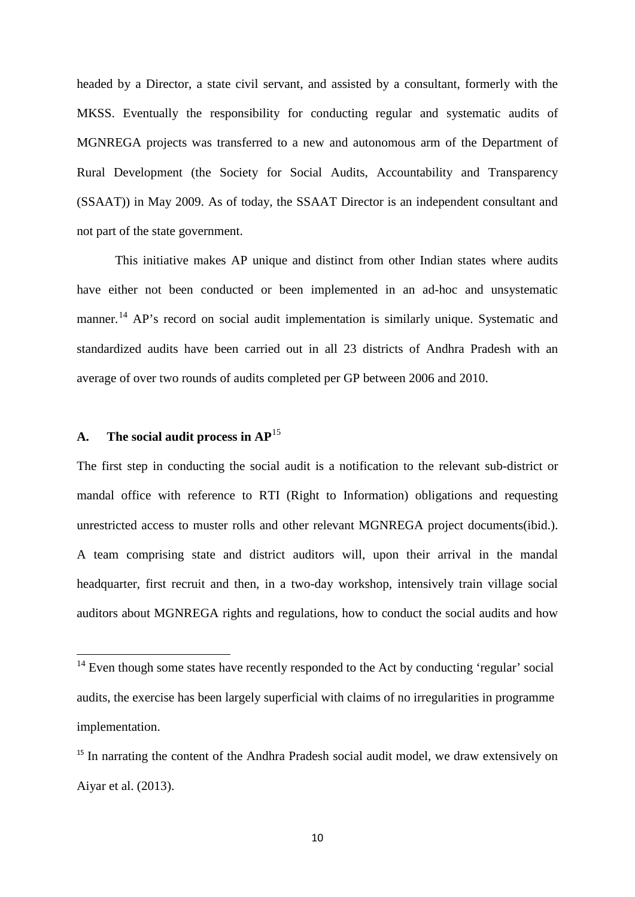headed by a Director, a state civil servant, and assisted by a consultant, formerly with the MKSS. Eventually the responsibility for conducting regular and systematic audits of MGNREGA projects was transferred to a new and autonomous arm of the Department of Rural Development (the Society for Social Audits, Accountability and Transparency (SSAAT)) in May 2009. As of today, the SSAAT Director is an independent consultant and not part of the state government.

This initiative makes AP unique and distinct from other Indian states where audits have either not been conducted or been implemented in an ad-hoc and unsystematic manner.<sup>[14](#page-10-0)</sup> AP's record on social audit implementation is similarly unique. Systematic and standardized audits have been carried out in all 23 districts of Andhra Pradesh with an average of over two rounds of audits completed per GP between 2006 and 2010.

#### **A. The social audit process in AP**[15](#page-11-0)

The first step in conducting the social audit is a notification to the relevant sub-district or mandal office with reference to RTI (Right to Information) obligations and requesting unrestricted access to muster rolls and other relevant MGNREGA project documents(ibid.). A team comprising state and district auditors will, upon their arrival in the mandal headquarter, first recruit and then, in a two-day workshop, intensively train village social auditors about MGNREGA rights and regulations, how to conduct the social audits and how

 $14$  Even though some states have recently responded to the Act by conducting 'regular' social audits, the exercise has been largely superficial with claims of no irregularities in programme implementation.

<span id="page-11-1"></span><span id="page-11-0"></span><sup>&</sup>lt;sup>15</sup> In narrating the content of the Andhra Pradesh social audit model, we draw extensively on Aiyar et al. (2013).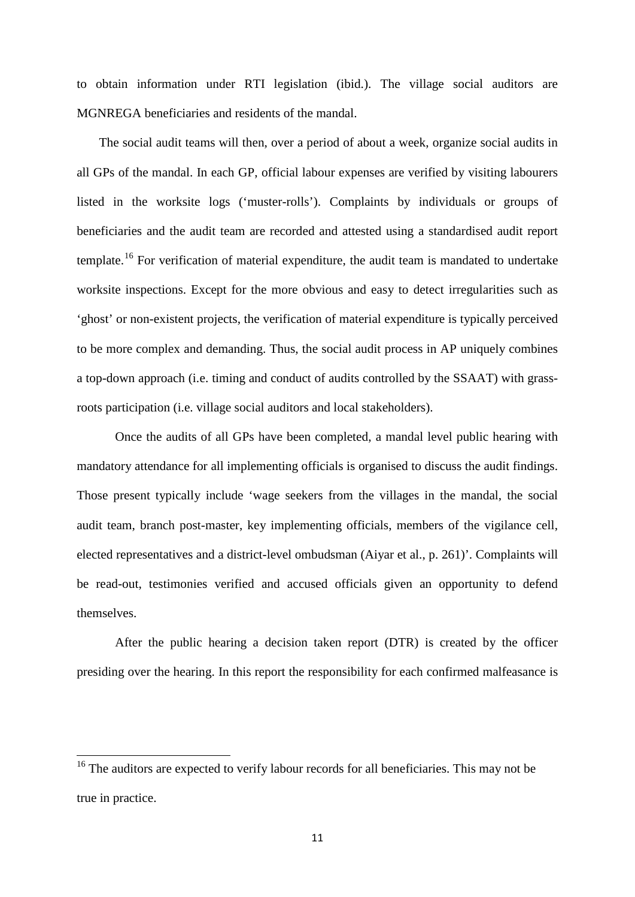to obtain information under RTI legislation (ibid.). The village social auditors are MGNREGA beneficiaries and residents of the mandal.

 The social audit teams will then, over a period of about a week, organize social audits in all GPs of the mandal. In each GP, official labour expenses are verified by visiting labourers listed in the worksite logs ('muster-rolls'). Complaints by individuals or groups of beneficiaries and the audit team are recorded and attested using a standardised audit report template.<sup>[16](#page-11-1)</sup> For verification of material expenditure, the audit team is mandated to undertake worksite inspections. Except for the more obvious and easy to detect irregularities such as 'ghost' or non-existent projects, the verification of material expenditure is typically perceived to be more complex and demanding. Thus, the social audit process in AP uniquely combines a top-down approach (i.e. timing and conduct of audits controlled by the SSAAT) with grassroots participation (i.e. village social auditors and local stakeholders).

Once the audits of all GPs have been completed, a mandal level public hearing with mandatory attendance for all implementing officials is organised to discuss the audit findings. Those present typically include 'wage seekers from the villages in the mandal, the social audit team, branch post-master, key implementing officials, members of the vigilance cell, elected representatives and a district-level ombudsman (Aiyar et al., p. 261)'. Complaints will be read-out, testimonies verified and accused officials given an opportunity to defend themselves.

<span id="page-12-0"></span>After the public hearing a decision taken report (DTR) is created by the officer presiding over the hearing. In this report the responsibility for each confirmed malfeasance is

<sup>&</sup>lt;sup>16</sup> The auditors are expected to verify labour records for all beneficiaries. This may not be true in practice.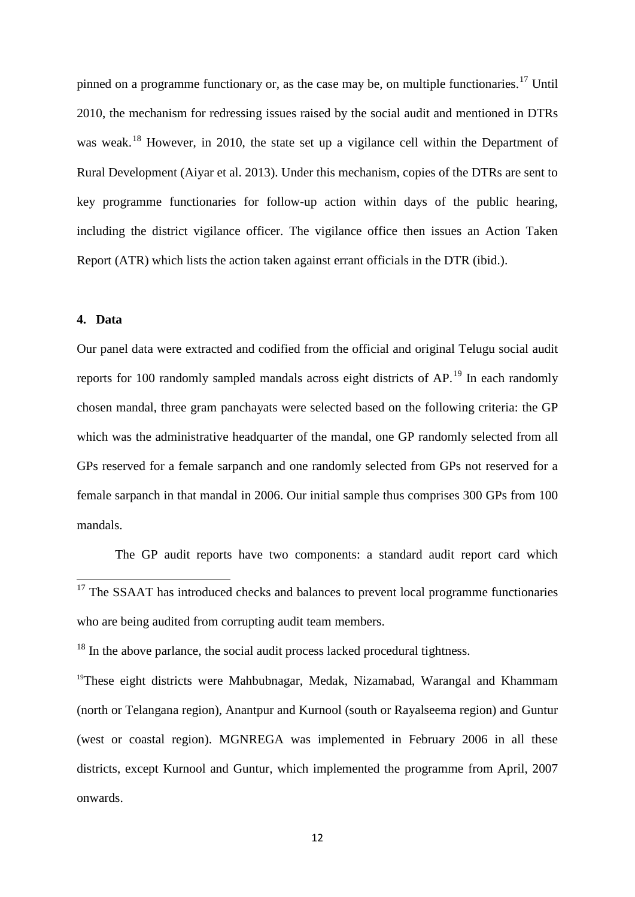pinned on a programme functionary or, as the case may be, on multiple functionaries.<sup>[17](#page-12-0)</sup> Until 2010, the mechanism for redressing issues raised by the social audit and mentioned in DTRs was weak.<sup>[18](#page-13-0)</sup> However, in 2010, the state set up a vigilance cell within the Department of Rural Development (Aiyar et al. 2013). Under this mechanism, copies of the DTRs are sent to key programme functionaries for follow-up action within days of the public hearing, including the district vigilance officer. The vigilance office then issues an Action Taken Report (ATR) which lists the action taken against errant officials in the DTR (ibid.).

#### **4. Data**

Our panel data were extracted and codified from the official and original Telugu social audit reports for 100 randomly sampled mandals across eight districts of AP.<sup>[19](#page-13-1)</sup> In each randomly chosen mandal, three gram panchayats were selected based on the following criteria: the GP which was the administrative headquarter of the mandal, one GP randomly selected from all GPs reserved for a female sarpanch and one randomly selected from GPs not reserved for a female sarpanch in that mandal in 2006. Our initial sample thus comprises 300 GPs from 100 mandals.

The GP audit reports have two components: a standard audit report card which

<span id="page-13-0"></span> $18$  In the above parlance, the social audit process lacked procedural tightness.

<span id="page-13-2"></span><span id="page-13-1"></span><sup>19</sup>These eight districts were Mahbubnagar, Medak, Nizamabad, Warangal and Khammam (north or Telangana region), Anantpur and Kurnool (south or Rayalseema region) and Guntur (west or coastal region). MGNREGA was implemented in February 2006 in all these districts, except Kurnool and Guntur, which implemented the programme from April, 2007 onwards.

<sup>&</sup>lt;sup>17</sup> The SSAAT has introduced checks and balances to prevent local programme functionaries who are being audited from corrupting audit team members.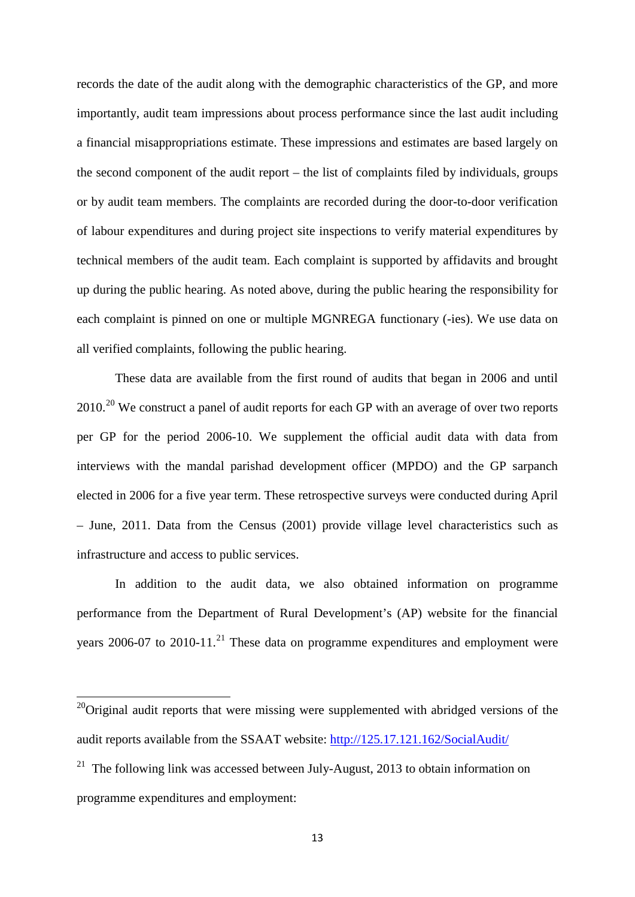records the date of the audit along with the demographic characteristics of the GP, and more importantly, audit team impressions about process performance since the last audit including a financial misappropriations estimate. These impressions and estimates are based largely on the second component of the audit report – the list of complaints filed by individuals, groups or by audit team members. The complaints are recorded during the door-to-door verification of labour expenditures and during project site inspections to verify material expenditures by technical members of the audit team. Each complaint is supported by affidavits and brought up during the public hearing. As noted above, during the public hearing the responsibility for each complaint is pinned on one or multiple MGNREGA functionary (-ies). We use data on all verified complaints, following the public hearing.

These data are available from the first round of audits that began in 2006 and until  $2010.^{20}$  $2010.^{20}$  We construct a panel of audit reports for each GP with an average of over two reports per GP for the period 2006-10. We supplement the official audit data with data from interviews with the mandal parishad development officer (MPDO) and the GP sarpanch elected in 2006 for a five year term. These retrospective surveys were conducted during April – June, 2011. Data from the Census (2001) provide village level characteristics such as infrastructure and access to public services.

In addition to the audit data, we also obtained information on programme performance from the Department of Rural Development's (AP) website for the financial years  $2006-07$  to  $2010-11$ .<sup>[21](#page-14-0)</sup> These data on programme expenditures and employment were

 $20$ Original audit reports that were missing were supplemented with abridged versions of the audit reports available from the SSAAT website:<http://125.17.121.162/SocialAudit/>

<span id="page-14-1"></span><span id="page-14-0"></span><sup>&</sup>lt;sup>21</sup> The following link was accessed between July-August, 2013 to obtain information on programme expenditures and employment: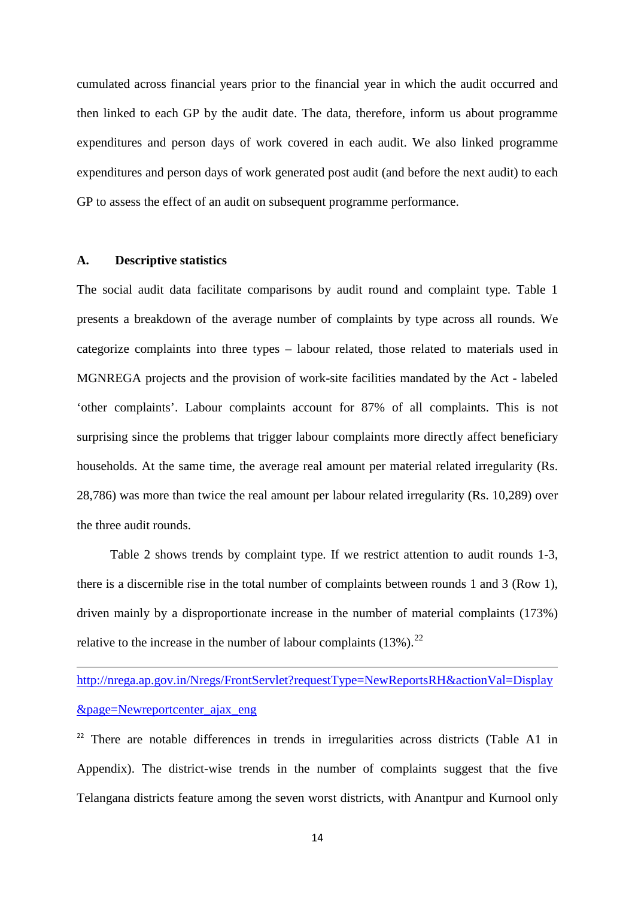cumulated across financial years prior to the financial year in which the audit occurred and then linked to each GP by the audit date. The data, therefore, inform us about programme expenditures and person days of work covered in each audit. We also linked programme expenditures and person days of work generated post audit (and before the next audit) to each GP to assess the effect of an audit on subsequent programme performance.

#### **A. Descriptive statistics**

**.** 

The social audit data facilitate comparisons by audit round and complaint type. Table 1 presents a breakdown of the average number of complaints by type across all rounds. We categorize complaints into three types – labour related, those related to materials used in MGNREGA projects and the provision of work-site facilities mandated by the Act - labeled 'other complaints'. Labour complaints account for 87% of all complaints. This is not surprising since the problems that trigger labour complaints more directly affect beneficiary households. At the same time, the average real amount per material related irregularity (Rs. 28,786) was more than twice the real amount per labour related irregularity (Rs. 10,289) over the three audit rounds.

Table 2 shows trends by complaint type. If we restrict attention to audit rounds 1-3, there is a discernible rise in the total number of complaints between rounds 1 and 3 (Row 1), driven mainly by a disproportionate increase in the number of material complaints (173%) relative to the increase in the number of labour complaints  $(13\%)$ .<sup>22</sup>

[http://nrega.ap.gov.in/Nregs/FrontServlet?requestType=NewReportsRH&actionVal=Display](http://nrega.ap.gov.in/Nregs/FrontServlet?requestType=NewReportsRH&actionVal=Display&page=Newreportcenter_ajax_eng) [&page=Newreportcenter\\_ajax\\_eng](http://nrega.ap.gov.in/Nregs/FrontServlet?requestType=NewReportsRH&actionVal=Display&page=Newreportcenter_ajax_eng)

<span id="page-15-0"></span><sup>22</sup> There are notable differences in trends in irregularities across districts (Table A1 in Appendix). The district-wise trends in the number of complaints suggest that the five Telangana districts feature among the seven worst districts, with Anantpur and Kurnool only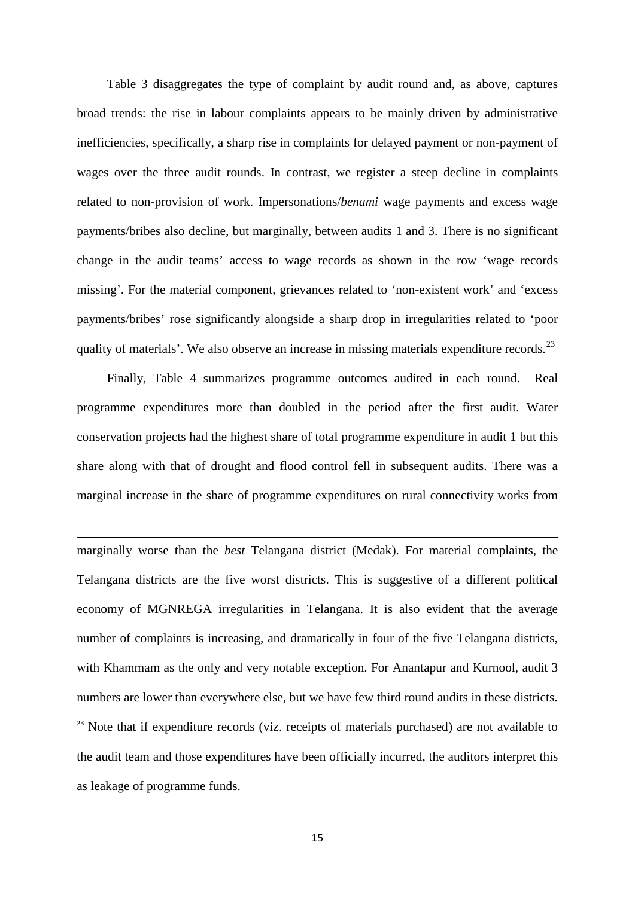Table 3 disaggregates the type of complaint by audit round and, as above, captures broad trends: the rise in labour complaints appears to be mainly driven by administrative inefficiencies, specifically, a sharp rise in complaints for delayed payment or non-payment of wages over the three audit rounds. In contrast, we register a steep decline in complaints related to non-provision of work. Impersonations/*benami* wage payments and excess wage payments/bribes also decline, but marginally, between audits 1 and 3. There is no significant change in the audit teams' access to wage records as shown in the row 'wage records missing'. For the material component, grievances related to 'non-existent work' and 'excess payments/bribes' rose significantly alongside a sharp drop in irregularities related to 'poor quality of materials'. We also observe an increase in missing materials expenditure records.  $^{23}$  $^{23}$  $^{23}$ 

Finally, Table 4 summarizes programme outcomes audited in each round. Real programme expenditures more than doubled in the period after the first audit. Water conservation projects had the highest share of total programme expenditure in audit 1 but this share along with that of drought and flood control fell in subsequent audits. There was a marginal increase in the share of programme expenditures on rural connectivity works from

 $\overline{a}$ 

<span id="page-16-0"></span>marginally worse than the *best* Telangana district (Medak). For material complaints, the Telangana districts are the five worst districts. This is suggestive of a different political economy of MGNREGA irregularities in Telangana. It is also evident that the average number of complaints is increasing, and dramatically in four of the five Telangana districts, with Khammam as the only and very notable exception. For Anantapur and Kurnool, audit 3 numbers are lower than everywhere else, but we have few third round audits in these districts.  $^{23}$  Note that if expenditure records (viz. receipts of materials purchased) are not available to the audit team and those expenditures have been officially incurred, the auditors interpret this as leakage of programme funds.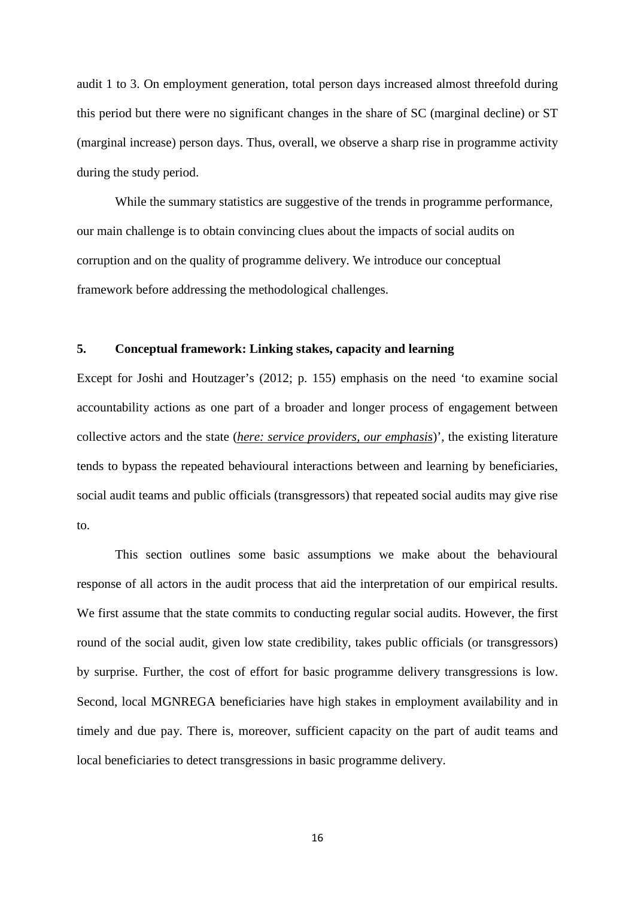audit 1 to 3. On employment generation, total person days increased almost threefold during this period but there were no significant changes in the share of SC (marginal decline) or ST (marginal increase) person days. Thus, overall, we observe a sharp rise in programme activity during the study period.

While the summary statistics are suggestive of the trends in programme performance, our main challenge is to obtain convincing clues about the impacts of social audits on corruption and on the quality of programme delivery. We introduce our conceptual framework before addressing the methodological challenges.

#### **5. Conceptual framework: Linking stakes, capacity and learning**

Except for Joshi and Houtzager's (2012; p. 155) emphasis on the need 'to examine social accountability actions as one part of a broader and longer process of engagement between collective actors and the state (*here: service providers, our emphasis*)', the existing literature tends to bypass the repeated behavioural interactions between and learning by beneficiaries, social audit teams and public officials (transgressors) that repeated social audits may give rise to.

This section outlines some basic assumptions we make about the behavioural response of all actors in the audit process that aid the interpretation of our empirical results. We first assume that the state commits to conducting regular social audits. However, the first round of the social audit, given low state credibility, takes public officials (or transgressors) by surprise. Further, the cost of effort for basic programme delivery transgressions is low. Second, local MGNREGA beneficiaries have high stakes in employment availability and in timely and due pay. There is, moreover, sufficient capacity on the part of audit teams and local beneficiaries to detect transgressions in basic programme delivery.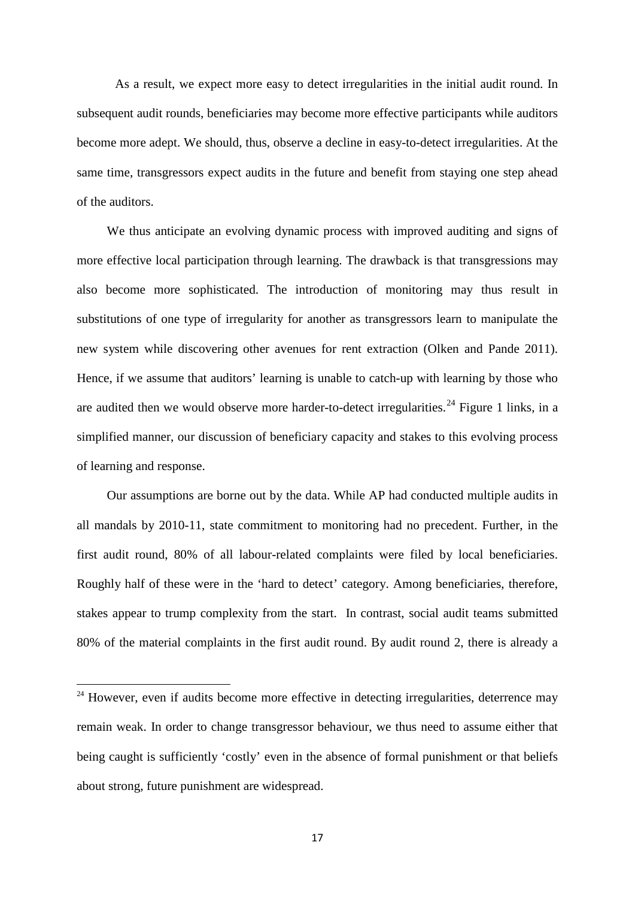As a result, we expect more easy to detect irregularities in the initial audit round. In subsequent audit rounds, beneficiaries may become more effective participants while auditors become more adept. We should, thus, observe a decline in easy-to-detect irregularities. At the same time, transgressors expect audits in the future and benefit from staying one step ahead of the auditors.

We thus anticipate an evolving dynamic process with improved auditing and signs of more effective local participation through learning. The drawback is that transgressions may also become more sophisticated. The introduction of monitoring may thus result in substitutions of one type of irregularity for another as transgressors learn to manipulate the new system while discovering other avenues for rent extraction (Olken and Pande 2011). Hence, if we assume that auditors' learning is unable to catch-up with learning by those who are audited then we would observe more harder-to-detect irregularities.<sup>[24](#page-16-0)</sup> Figure 1 links, in a simplified manner, our discussion of beneficiary capacity and stakes to this evolving process of learning and response.

Our assumptions are borne out by the data. While AP had conducted multiple audits in all mandals by 2010-11, state commitment to monitoring had no precedent. Further, in the first audit round, 80% of all labour-related complaints were filed by local beneficiaries. Roughly half of these were in the 'hard to detect' category. Among beneficiaries, therefore, stakes appear to trump complexity from the start. In contrast, social audit teams submitted 80% of the material complaints in the first audit round. By audit round 2, there is already a

**.** 

<span id="page-18-0"></span><sup>&</sup>lt;sup>24</sup> However, even if audits become more effective in detecting irregularities, deterrence may remain weak. In order to change transgressor behaviour, we thus need to assume either that being caught is sufficiently 'costly' even in the absence of formal punishment or that beliefs about strong, future punishment are widespread.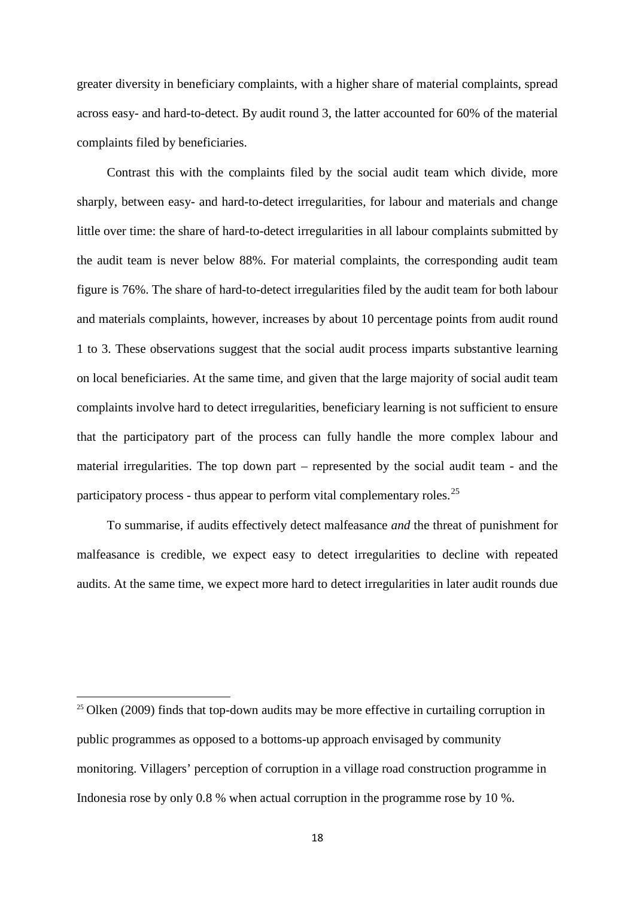greater diversity in beneficiary complaints, with a higher share of material complaints, spread across easy- and hard-to-detect. By audit round 3, the latter accounted for 60% of the material complaints filed by beneficiaries.

Contrast this with the complaints filed by the social audit team which divide, more sharply, between easy- and hard-to-detect irregularities, for labour and materials and change little over time: the share of hard-to-detect irregularities in all labour complaints submitted by the audit team is never below 88%. For material complaints, the corresponding audit team figure is 76%. The share of hard-to-detect irregularities filed by the audit team for both labour and materials complaints, however, increases by about 10 percentage points from audit round 1 to 3. These observations suggest that the social audit process imparts substantive learning on local beneficiaries. At the same time, and given that the large majority of social audit team complaints involve hard to detect irregularities, beneficiary learning is not sufficient to ensure that the participatory part of the process can fully handle the more complex labour and material irregularities. The top down part – represented by the social audit team - and the participatory process - thus appear to perform vital complementary roles.<sup>[25](#page-18-0)</sup>

To summarise, if audits effectively detect malfeasance *and* the threat of punishment for malfeasance is credible, we expect easy to detect irregularities to decline with repeated audits. At the same time, we expect more hard to detect irregularities in later audit rounds due

<span id="page-19-0"></span> $\overline{a}$ 

 $25$  Olken (2009) finds that top-down audits may be more effective in curtailing corruption in public programmes as opposed to a bottoms-up approach envisaged by community monitoring. Villagers' perception of corruption in a village road construction programme in Indonesia rose by only 0.8 % when actual corruption in the programme rose by 10 %.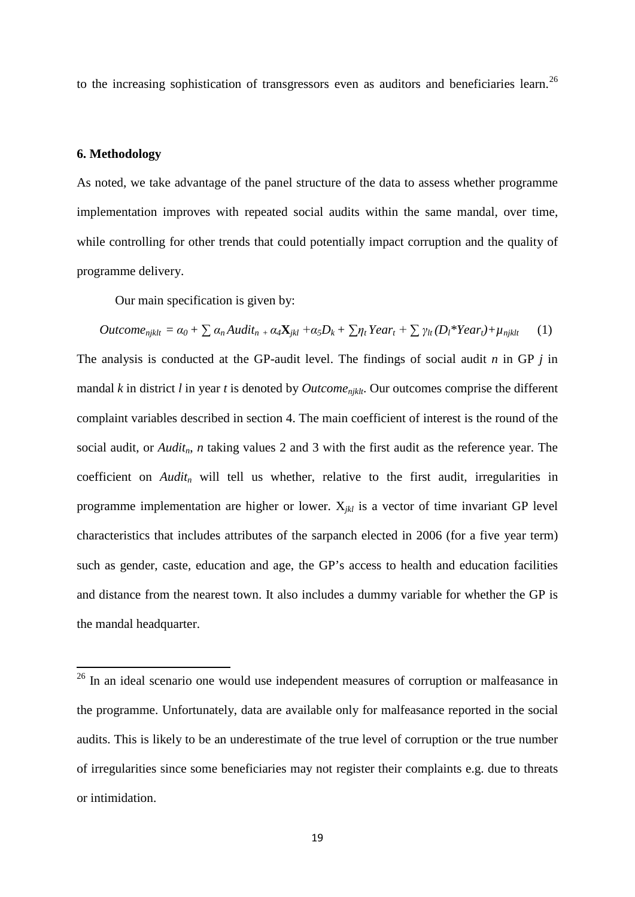to the increasing sophistication of transgressors even as auditors and beneficiaries learn.<sup>[26](#page-19-0)</sup>

#### **6. Methodology**

As noted, we take advantage of the panel structure of the data to assess whether programme implementation improves with repeated social audits within the same mandal, over time, while controlling for other trends that could potentially impact corruption and the quality of programme delivery.

Our main specification is given by:

$$
Outcome_{njklt} = \alpha_0 + \sum \alpha_n Audit_{n+1} \alpha_4 X_{jkl} + \alpha_5 D_k + \sum \eta_t Year_t + \sum \gamma_{lt} (D_l * Year_t) + \mu_{njklt} \tag{1}
$$

The analysis is conducted at the GP-audit level. The findings of social audit *n* in GP *j* in mandal *k* in district *l* in year *t* is denoted by *Outcomenjklt*. Our outcomes comprise the different complaint variables described in section 4. The main coefficient of interest is the round of the social audit, or *Audit<sub>n</sub>*, *n* taking values 2 and 3 with the first audit as the reference year. The coefficient on *Audit<sub>n</sub>* will tell us whether, relative to the first audit, irregularities in programme implementation are higher or lower. X*jkl* is a vector of time invariant GP level characteristics that includes attributes of the sarpanch elected in 2006 (for a five year term) such as gender, caste, education and age, the GP's access to health and education facilities and distance from the nearest town. It also includes a dummy variable for whether the GP is the mandal headquarter.

<span id="page-20-0"></span><sup>&</sup>lt;sup>26</sup> In an ideal scenario one would use independent measures of corruption or malfeasance in the programme. Unfortunately, data are available only for malfeasance reported in the social audits. This is likely to be an underestimate of the true level of corruption or the true number of irregularities since some beneficiaries may not register their complaints e.g. due to threats or intimidation.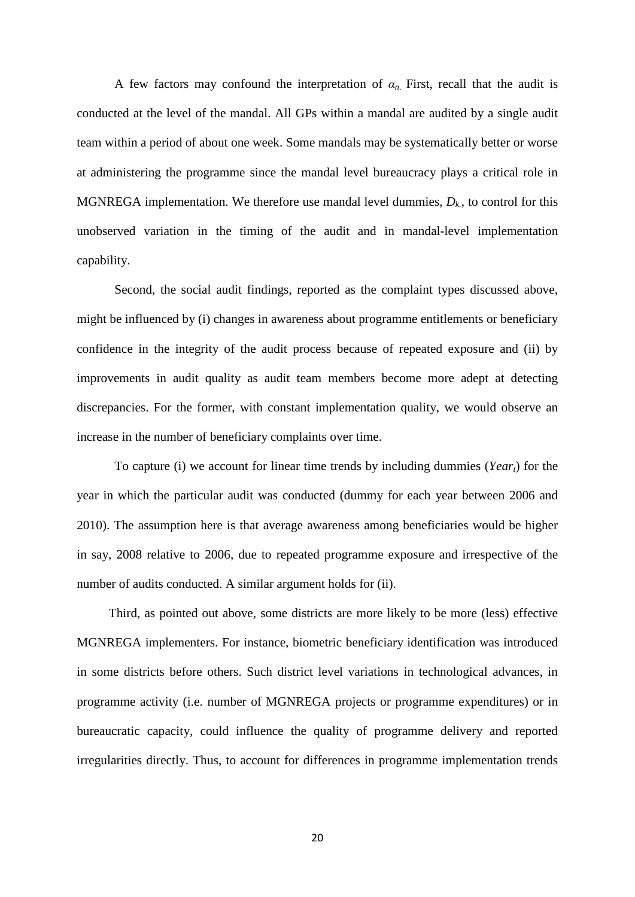A few factors may confound the interpretation of  $\alpha_n$ . First, recall that the audit is conducted at the level of the mandal. All GPs within a mandal are audited by a single audit team within a period of about one week. Some mandals may be systematically better or worse at administering the programme since the mandal level bureaucracy plays a critical role in MGNREGA implementation. We therefore use mandal level dummies,  $D_k$ , to control for this unobserved variation in the timing of the audit and in mandal-level implementation capability.

Second, the social audit findings, reported as the complaint types discussed above, might be influenced by (i) changes in awareness about programme entitlements or beneficiary confidence in the integrity of the audit process because of repeated exposure and (ii) by improvements in audit quality as audit team members become more adept at detecting discrepancies. For the former, with constant implementation quality, we would observe an increase in the number of beneficiary complaints over time.

To capture (i) we account for linear time trends by including dummies (*Yeart*) for the year in which the particular audit was conducted (dummy for each year between 2006 and 2010). The assumption here is that average awareness among beneficiaries would be higher in say, 2008 relative to 2006, due to repeated programme exposure and irrespective of the number of audits conducted. A similar argument holds for (ii).

 Third, as pointed out above, some districts are more likely to be more (less) effective MGNREGA implementers. For instance, biometric beneficiary identification was introduced in some districts before others. Such district level variations in technological advances, in programme activity (i.e. number of MGNREGA projects or programme expenditures) or in bureaucratic capacity, could influence the quality of programme delivery and reported irregularities directly. Thus, to account for differences in programme implementation trends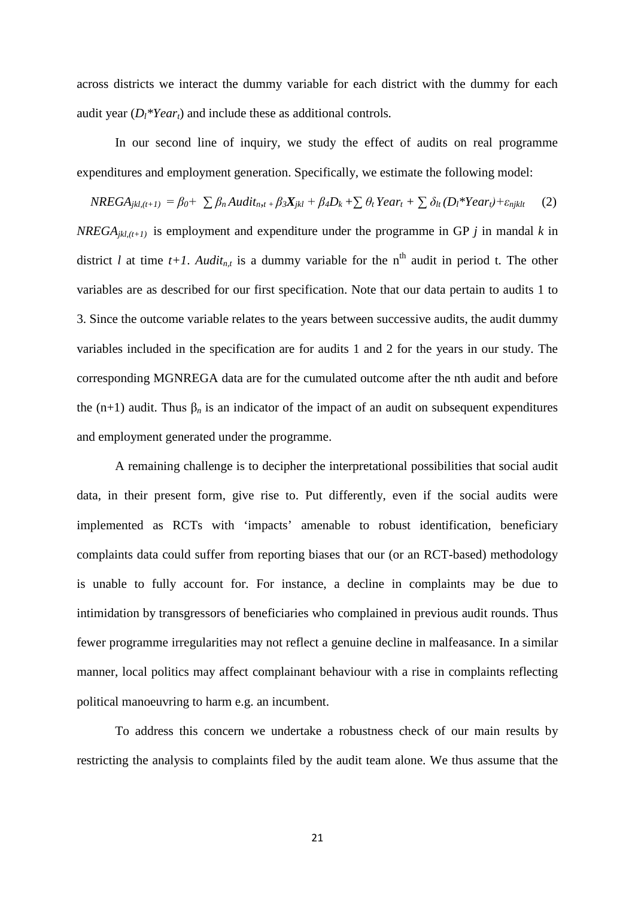across districts we interact the dummy variable for each district with the dummy for each audit year (*Dl\*Yeart*) and include these as additional controls*.*

In our second line of inquiry, we study the effect of audits on real programme expenditures and employment generation. Specifically, we estimate the following model:

 $NREGA_{ikl,(t+1)} = \beta_0 + \sum \beta_n Audit_{n,t} + \beta_3 X_{ikl} + \beta_4 D_k + \sum \theta_t Year_t + \sum \delta_{lt}(D_l * Year_t) + \varepsilon_{njklt}$  (2) *NREGA<sub>ikl,(t+1)* is employment and expenditure under the programme in GP *j* in mandal *k* in</sub> district *l* at time  $t+1$ . *Audit<sub>n,t</sub>* is a dummy variable for the n<sup>th</sup> audit in period t. The other variables are as described for our first specification. Note that our data pertain to audits 1 to 3. Since the outcome variable relates to the years between successive audits, the audit dummy variables included in the specification are for audits 1 and 2 for the years in our study. The corresponding MGNREGA data are for the cumulated outcome after the nth audit and before the (n+1) audit. Thus  $\beta_n$  is an indicator of the impact of an audit on subsequent expenditures and employment generated under the programme.

A remaining challenge is to decipher the interpretational possibilities that social audit data, in their present form, give rise to. Put differently, even if the social audits were implemented as RCTs with 'impacts' amenable to robust identification, beneficiary complaints data could suffer from reporting biases that our (or an RCT-based) methodology is unable to fully account for. For instance, a decline in complaints may be due to intimidation by transgressors of beneficiaries who complained in previous audit rounds. Thus fewer programme irregularities may not reflect a genuine decline in malfeasance. In a similar manner, local politics may affect complainant behaviour with a rise in complaints reflecting political manoeuvring to harm e.g. an incumbent.

To address this concern we undertake a robustness check of our main results by restricting the analysis to complaints filed by the audit team alone. We thus assume that the

21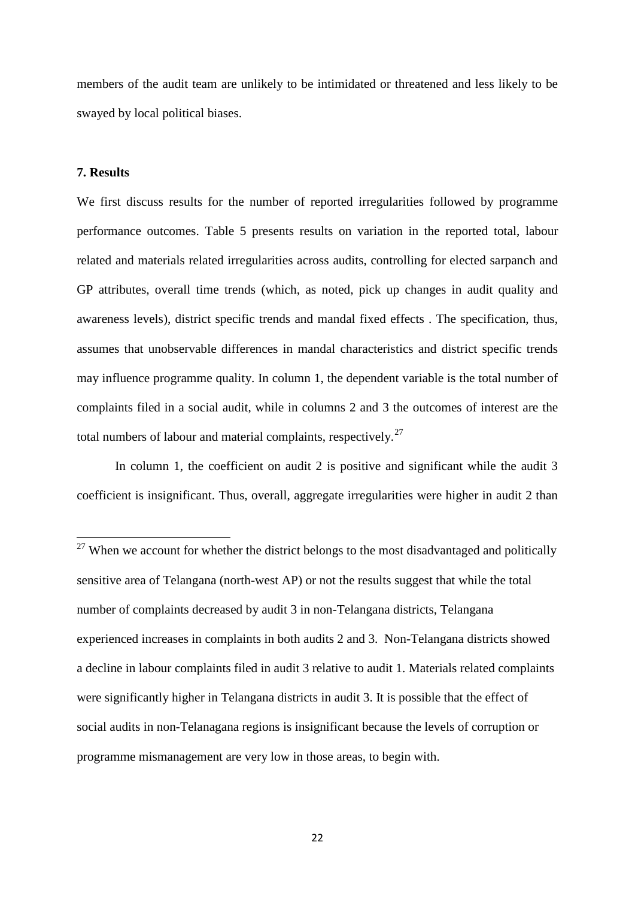members of the audit team are unlikely to be intimidated or threatened and less likely to be swayed by local political biases.

#### **7. Results**

We first discuss results for the number of reported irregularities followed by programme performance outcomes. Table 5 presents results on variation in the reported total, labour related and materials related irregularities across audits, controlling for elected sarpanch and GP attributes, overall time trends (which, as noted, pick up changes in audit quality and awareness levels), district specific trends and mandal fixed effects . The specification, thus, assumes that unobservable differences in mandal characteristics and district specific trends may influence programme quality. In column 1, the dependent variable is the total number of complaints filed in a social audit, while in columns 2 and 3 the outcomes of interest are the total numbers of labour and material complaints, respectively.<sup>[27](#page-20-0)</sup>

In column 1, the coefficient on audit 2 is positive and significant while the audit 3 coefficient is insignificant. Thus, overall, aggregate irregularities were higher in audit 2 than

<span id="page-23-0"></span> $27$  When we account for whether the district belongs to the most disadvantaged and politically sensitive area of Telangana (north-west AP) or not the results suggest that while the total number of complaints decreased by audit 3 in non-Telangana districts, Telangana experienced increases in complaints in both audits 2 and 3. Non-Telangana districts showed a decline in labour complaints filed in audit 3 relative to audit 1. Materials related complaints were significantly higher in Telangana districts in audit 3. It is possible that the effect of social audits in non-Telanagana regions is insignificant because the levels of corruption or programme mismanagement are very low in those areas, to begin with.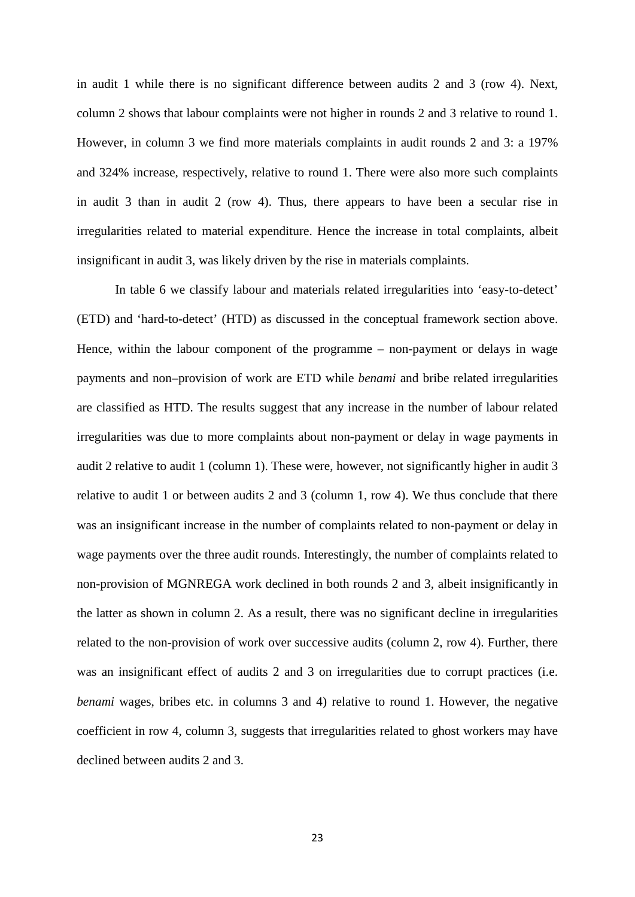in audit 1 while there is no significant difference between audits 2 and 3 (row 4). Next, column 2 shows that labour complaints were not higher in rounds 2 and 3 relative to round 1. However, in column 3 we find more materials complaints in audit rounds 2 and 3: a 197% and 324% increase, respectively, relative to round 1. There were also more such complaints in audit 3 than in audit 2 (row 4). Thus, there appears to have been a secular rise in irregularities related to material expenditure. Hence the increase in total complaints, albeit insignificant in audit 3, was likely driven by the rise in materials complaints.

In table 6 we classify labour and materials related irregularities into 'easy-to-detect' (ETD) and 'hard-to-detect' (HTD) as discussed in the conceptual framework section above. Hence, within the labour component of the programme – non-payment or delays in wage payments and non–provision of work are ETD while *benami* and bribe related irregularities are classified as HTD. The results suggest that any increase in the number of labour related irregularities was due to more complaints about non-payment or delay in wage payments in audit 2 relative to audit 1 (column 1). These were, however, not significantly higher in audit 3 relative to audit 1 or between audits 2 and 3 (column 1, row 4). We thus conclude that there was an insignificant increase in the number of complaints related to non-payment or delay in wage payments over the three audit rounds. Interestingly, the number of complaints related to non-provision of MGNREGA work declined in both rounds 2 and 3, albeit insignificantly in the latter as shown in column 2. As a result, there was no significant decline in irregularities related to the non-provision of work over successive audits (column 2, row 4). Further, there was an insignificant effect of audits 2 and 3 on irregularities due to corrupt practices (i.e. *benami* wages, bribes etc. in columns 3 and 4) relative to round 1. However, the negative coefficient in row 4, column 3, suggests that irregularities related to ghost workers may have declined between audits 2 and 3.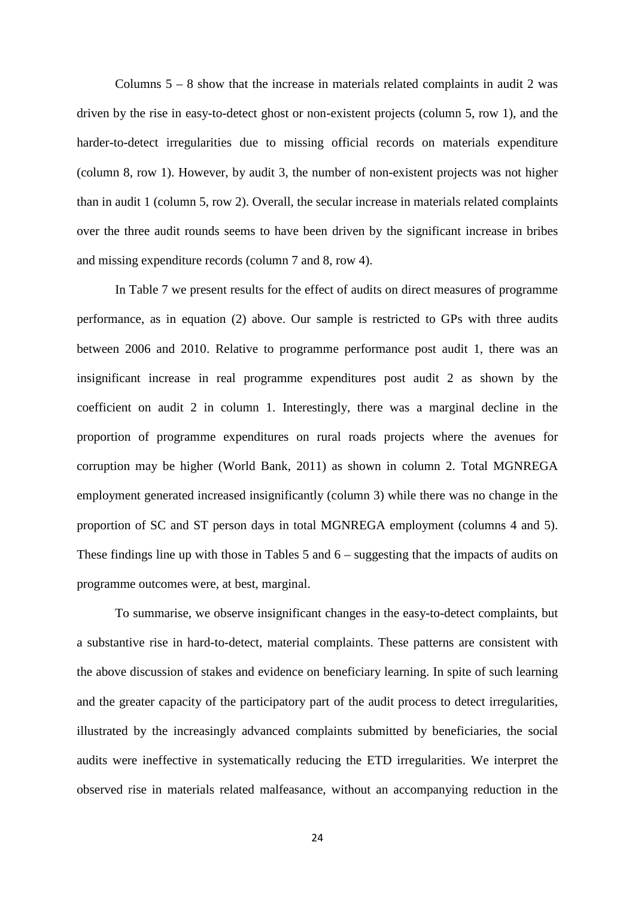Columns  $5 - 8$  show that the increase in materials related complaints in audit 2 was driven by the rise in easy-to-detect ghost or non-existent projects (column 5, row 1), and the harder-to-detect irregularities due to missing official records on materials expenditure (column 8, row 1). However, by audit 3, the number of non-existent projects was not higher than in audit 1 (column 5, row 2). Overall, the secular increase in materials related complaints over the three audit rounds seems to have been driven by the significant increase in bribes and missing expenditure records (column 7 and 8, row 4).

In Table 7 we present results for the effect of audits on direct measures of programme performance, as in equation (2) above. Our sample is restricted to GPs with three audits between 2006 and 2010. Relative to programme performance post audit 1, there was an insignificant increase in real programme expenditures post audit 2 as shown by the coefficient on audit 2 in column 1. Interestingly, there was a marginal decline in the proportion of programme expenditures on rural roads projects where the avenues for corruption may be higher (World Bank, 2011) as shown in column 2. Total MGNREGA employment generated increased insignificantly (column 3) while there was no change in the proportion of SC and ST person days in total MGNREGA employment (columns 4 and 5). These findings line up with those in Tables 5 and 6 – suggesting that the impacts of audits on programme outcomes were, at best, marginal.

To summarise, we observe insignificant changes in the easy-to-detect complaints, but a substantive rise in hard-to-detect, material complaints. These patterns are consistent with the above discussion of stakes and evidence on beneficiary learning. In spite of such learning and the greater capacity of the participatory part of the audit process to detect irregularities, illustrated by the increasingly advanced complaints submitted by beneficiaries, the social audits were ineffective in systematically reducing the ETD irregularities. We interpret the observed rise in materials related malfeasance, without an accompanying reduction in the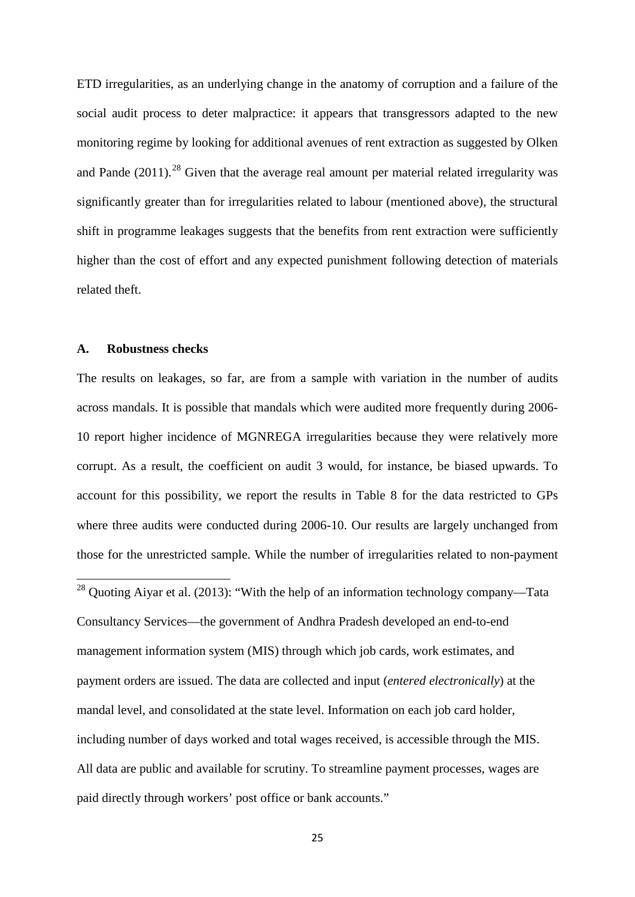ETD irregularities, as an underlying change in the anatomy of corruption and a failure of the social audit process to deter malpractice: it appears that transgressors adapted to the new monitoring regime by looking for additional avenues of rent extraction as suggested by Olken and Pande  $(2011)$ <sup>[28](#page-23-0)</sup> Given that the average real amount per material related irregularity was significantly greater than for irregularities related to labour (mentioned above), the structural shift in programme leakages suggests that the benefits from rent extraction were sufficiently higher than the cost of effort and any expected punishment following detection of materials related theft.

#### **A. Robustness checks**

The results on leakages, so far, are from a sample with variation in the number of audits across mandals. It is possible that mandals which were audited more frequently during 2006- 10 report higher incidence of MGNREGA irregularities because they were relatively more corrupt. As a result, the coefficient on audit 3 would, for instance, be biased upwards. To account for this possibility, we report the results in Table 8 for the data restricted to GPs where three audits were conducted during 2006-10. Our results are largely unchanged from those for the unrestricted sample. While the number of irregularities related to non-payment

<span id="page-26-0"></span> $28$  Quoting Aiyar et al. (2013): "With the help of an information technology company—Tata Consultancy Services—the government of Andhra Pradesh developed an end-to-end management information system (MIS) through which job cards, work estimates, and payment orders are issued. The data are collected and input (*entered electronically*) at the mandal level, and consolidated at the state level. Information on each job card holder, including number of days worked and total wages received, is accessible through the MIS. All data are public and available for scrutiny. To streamline payment processes, wages are paid directly through workers' post office or bank accounts."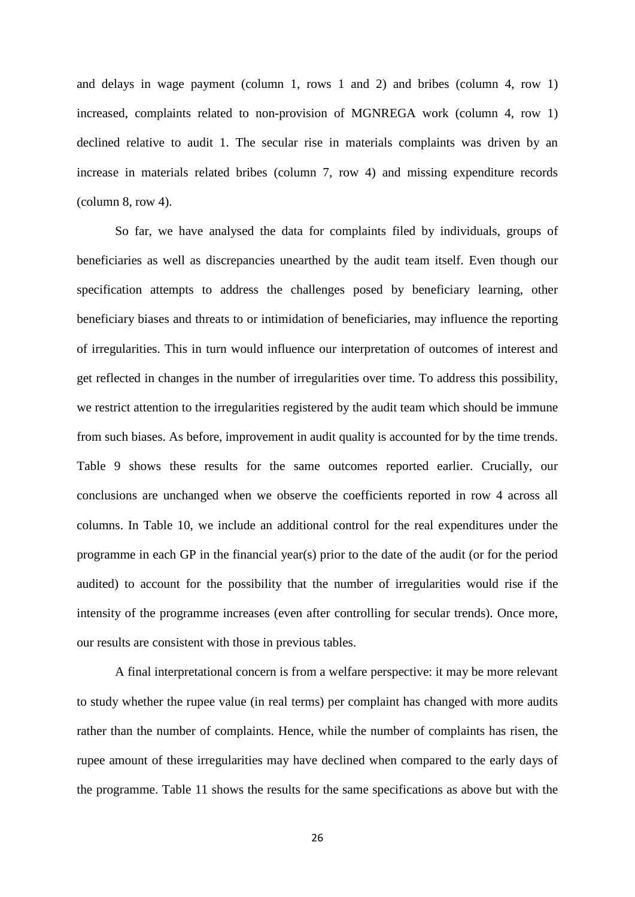and delays in wage payment (column 1, rows 1 and 2) and bribes (column 4, row 1) increased, complaints related to non-provision of MGNREGA work (column 4, row 1) declined relative to audit 1. The secular rise in materials complaints was driven by an increase in materials related bribes (column 7, row 4) and missing expenditure records (column 8, row 4).

So far, we have analysed the data for complaints filed by individuals, groups of beneficiaries as well as discrepancies unearthed by the audit team itself. Even though our specification attempts to address the challenges posed by beneficiary learning, other beneficiary biases and threats to or intimidation of beneficiaries, may influence the reporting of irregularities. This in turn would influence our interpretation of outcomes of interest and get reflected in changes in the number of irregularities over time. To address this possibility, we restrict attention to the irregularities registered by the audit team which should be immune from such biases. As before, improvement in audit quality is accounted for by the time trends. Table 9 shows these results for the same outcomes reported earlier. Crucially, our conclusions are unchanged when we observe the coefficients reported in row 4 across all columns. In Table 10, we include an additional control for the real expenditures under the programme in each GP in the financial year(s) prior to the date of the audit (or for the period audited) to account for the possibility that the number of irregularities would rise if the intensity of the programme increases (even after controlling for secular trends). Once more, our results are consistent with those in previous tables.

A final interpretational concern is from a welfare perspective: it may be more relevant to study whether the rupee value (in real terms) per complaint has changed with more audits rather than the number of complaints. Hence, while the number of complaints has risen, the rupee amount of these irregularities may have declined when compared to the early days of the programme. Table 11 shows the results for the same specifications as above but with the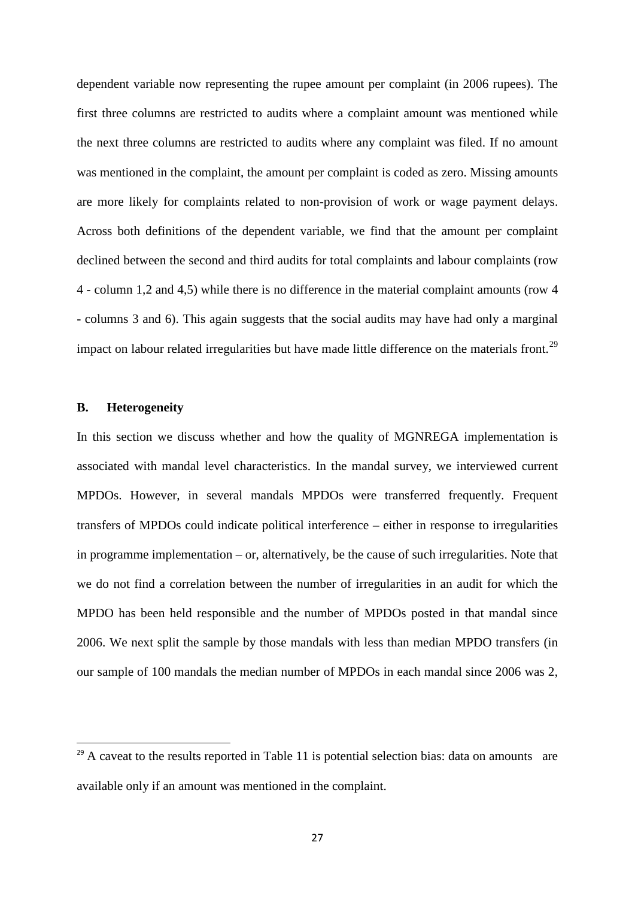dependent variable now representing the rupee amount per complaint (in 2006 rupees). The first three columns are restricted to audits where a complaint amount was mentioned while the next three columns are restricted to audits where any complaint was filed. If no amount was mentioned in the complaint, the amount per complaint is coded as zero. Missing amounts are more likely for complaints related to non-provision of work or wage payment delays. Across both definitions of the dependent variable, we find that the amount per complaint declined between the second and third audits for total complaints and labour complaints (row 4 - column 1,2 and 4,5) while there is no difference in the material complaint amounts (row 4 - columns 3 and 6). This again suggests that the social audits may have had only a marginal impact on labour related irregularities but have made little difference on the materials front.<sup>[29](#page-26-0)</sup>

#### **B. Heterogeneity**

In this section we discuss whether and how the quality of MGNREGA implementation is associated with mandal level characteristics. In the mandal survey, we interviewed current MPDOs. However, in several mandals MPDOs were transferred frequently. Frequent transfers of MPDOs could indicate political interference – either in response to irregularities in programme implementation – or, alternatively, be the cause of such irregularities. Note that we do not find a correlation between the number of irregularities in an audit for which the MPDO has been held responsible and the number of MPDOs posted in that mandal since 2006. We next split the sample by those mandals with less than median MPDO transfers (in our sample of 100 mandals the median number of MPDOs in each mandal since 2006 was 2,

<span id="page-28-0"></span> $29$  A caveat to the results reported in Table 11 is potential selection bias: data on amounts are available only if an amount was mentioned in the complaint.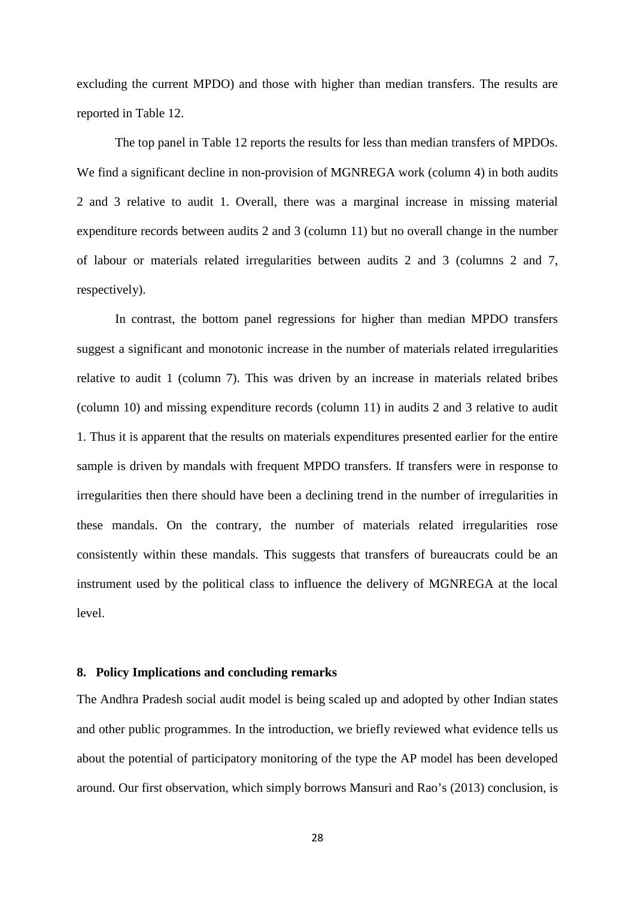excluding the current MPDO) and those with higher than median transfers. The results are reported in Table 12.

The top panel in Table 12 reports the results for less than median transfers of MPDOs. We find a significant decline in non-provision of MGNREGA work (column 4) in both audits 2 and 3 relative to audit 1. Overall, there was a marginal increase in missing material expenditure records between audits 2 and 3 (column 11) but no overall change in the number of labour or materials related irregularities between audits 2 and 3 (columns 2 and 7, respectively).

In contrast, the bottom panel regressions for higher than median MPDO transfers suggest a significant and monotonic increase in the number of materials related irregularities relative to audit 1 (column 7). This was driven by an increase in materials related bribes (column 10) and missing expenditure records (column 11) in audits 2 and 3 relative to audit 1. Thus it is apparent that the results on materials expenditures presented earlier for the entire sample is driven by mandals with frequent MPDO transfers. If transfers were in response to irregularities then there should have been a declining trend in the number of irregularities in these mandals. On the contrary, the number of materials related irregularities rose consistently within these mandals. This suggests that transfers of bureaucrats could be an instrument used by the political class to influence the delivery of MGNREGA at the local level.

#### **8. Policy Implications and concluding remarks**

The Andhra Pradesh social audit model is being scaled up and adopted by other Indian states and other public programmes. In the introduction, we briefly reviewed what evidence tells us about the potential of participatory monitoring of the type the AP model has been developed around. Our first observation, which simply borrows Mansuri and Rao's (2013) conclusion, is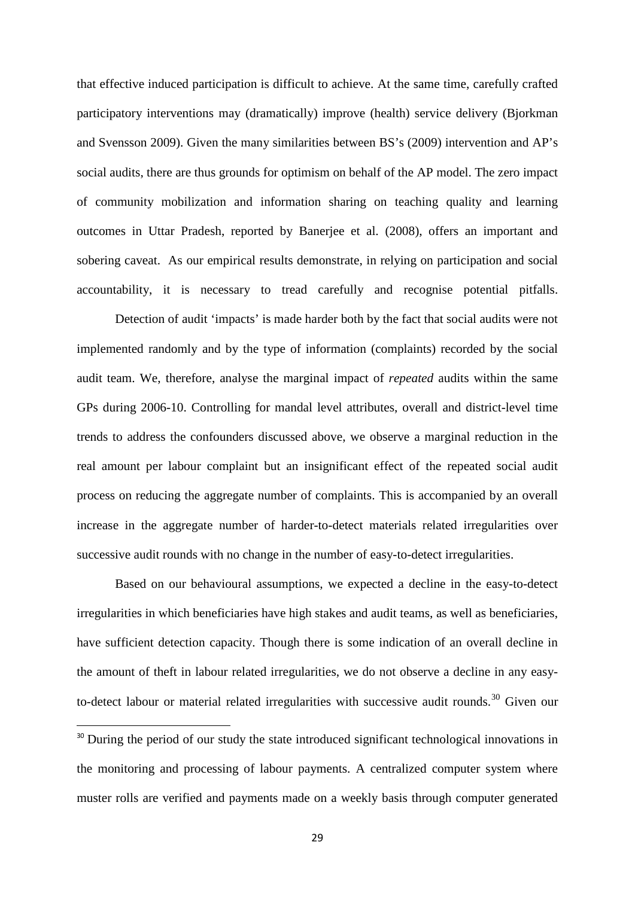that effective induced participation is difficult to achieve. At the same time, carefully crafted participatory interventions may (dramatically) improve (health) service delivery (Bjorkman and Svensson 2009). Given the many similarities between BS's (2009) intervention and AP's social audits, there are thus grounds for optimism on behalf of the AP model. The zero impact of community mobilization and information sharing on teaching quality and learning outcomes in Uttar Pradesh, reported by Banerjee et al. (2008), offers an important and sobering caveat. As our empirical results demonstrate, in relying on participation and social accountability, it is necessary to tread carefully and recognise potential pitfalls.

 Detection of audit 'impacts' is made harder both by the fact that social audits were not implemented randomly and by the type of information (complaints) recorded by the social audit team. We, therefore, analyse the marginal impact of *repeated* audits within the same GPs during 2006-10. Controlling for mandal level attributes, overall and district-level time trends to address the confounders discussed above, we observe a marginal reduction in the real amount per labour complaint but an insignificant effect of the repeated social audit process on reducing the aggregate number of complaints. This is accompanied by an overall increase in the aggregate number of harder-to-detect materials related irregularities over successive audit rounds with no change in the number of easy-to-detect irregularities.

Based on our behavioural assumptions, we expected a decline in the easy-to-detect irregularities in which beneficiaries have high stakes and audit teams, as well as beneficiaries, have sufficient detection capacity. Though there is some indication of an overall decline in the amount of theft in labour related irregularities, we do not observe a decline in any easy-to-detect labour or material related irregularities with successive audit rounds.<sup>[30](#page-28-0)</sup> Given our

<span id="page-30-0"></span><sup>&</sup>lt;sup>30</sup> During the period of our study the state introduced significant technological innovations in the monitoring and processing of labour payments. A centralized computer system where muster rolls are verified and payments made on a weekly basis through computer generated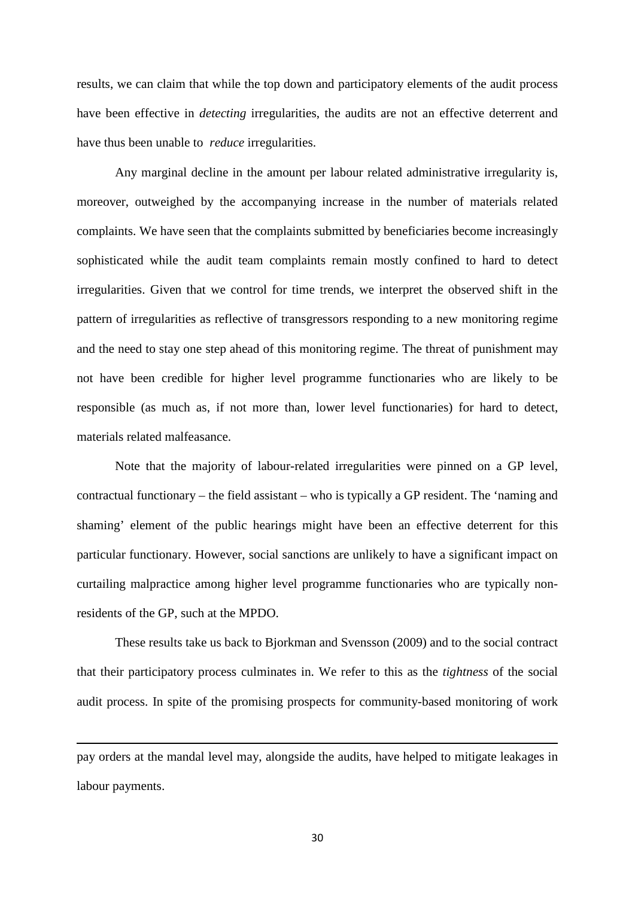results, we can claim that while the top down and participatory elements of the audit process have been effective in *detecting* irregularities, the audits are not an effective deterrent and have thus been unable to *reduce* irregularities.

Any marginal decline in the amount per labour related administrative irregularity is, moreover, outweighed by the accompanying increase in the number of materials related complaints. We have seen that the complaints submitted by beneficiaries become increasingly sophisticated while the audit team complaints remain mostly confined to hard to detect irregularities. Given that we control for time trends, we interpret the observed shift in the pattern of irregularities as reflective of transgressors responding to a new monitoring regime and the need to stay one step ahead of this monitoring regime. The threat of punishment may not have been credible for higher level programme functionaries who are likely to be responsible (as much as, if not more than, lower level functionaries) for hard to detect, materials related malfeasance.

Note that the majority of labour-related irregularities were pinned on a GP level, contractual functionary – the field assistant – who is typically a GP resident. The 'naming and shaming' element of the public hearings might have been an effective deterrent for this particular functionary. However, social sanctions are unlikely to have a significant impact on curtailing malpractice among higher level programme functionaries who are typically nonresidents of the GP, such at the MPDO.

These results take us back to Bjorkman and Svensson (2009) and to the social contract that their participatory process culminates in. We refer to this as the *tightness* of the social audit process. In spite of the promising prospects for community-based monitoring of work

pay orders at the mandal level may, alongside the audits, have helped to mitigate leakages in labour payments.

**.**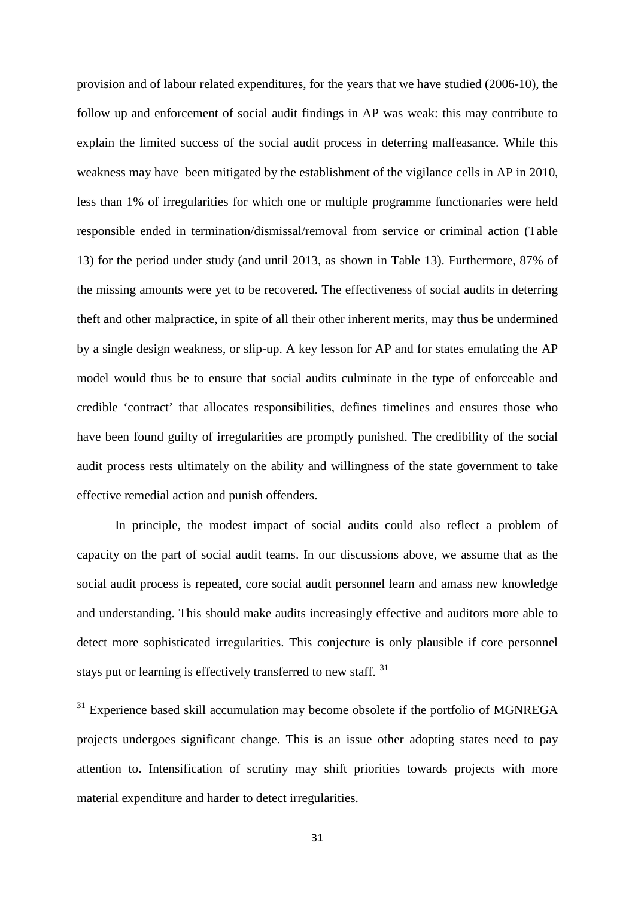provision and of labour related expenditures, for the years that we have studied (2006-10), the follow up and enforcement of social audit findings in AP was weak: this may contribute to explain the limited success of the social audit process in deterring malfeasance. While this weakness may have been mitigated by the establishment of the vigilance cells in AP in 2010, less than 1% of irregularities for which one or multiple programme functionaries were held responsible ended in termination/dismissal/removal from service or criminal action (Table 13) for the period under study (and until 2013, as shown in Table 13). Furthermore, 87% of the missing amounts were yet to be recovered. The effectiveness of social audits in deterring theft and other malpractice, in spite of all their other inherent merits, may thus be undermined by a single design weakness, or slip-up. A key lesson for AP and for states emulating the AP model would thus be to ensure that social audits culminate in the type of enforceable and credible 'contract' that allocates responsibilities, defines timelines and ensures those who have been found guilty of irregularities are promptly punished. The credibility of the social audit process rests ultimately on the ability and willingness of the state government to take effective remedial action and punish offenders.

In principle, the modest impact of social audits could also reflect a problem of capacity on the part of social audit teams. In our discussions above, we assume that as the social audit process is repeated, core social audit personnel learn and amass new knowledge and understanding. This should make audits increasingly effective and auditors more able to detect more sophisticated irregularities. This conjecture is only plausible if core personnel stays put or learning is effectively transferred to new staff.<sup>[31](#page-30-0)</sup>

<sup>31</sup> Experience based skill accumulation may become obsolete if the portfolio of MGNREGA projects undergoes significant change. This is an issue other adopting states need to pay attention to. Intensification of scrutiny may shift priorities towards projects with more material expenditure and harder to detect irregularities.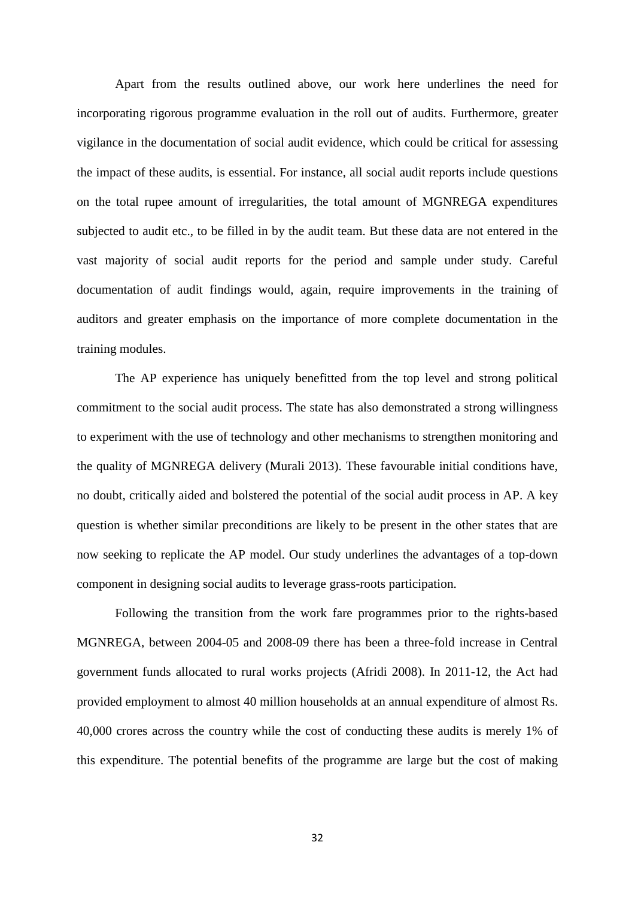Apart from the results outlined above, our work here underlines the need for incorporating rigorous programme evaluation in the roll out of audits. Furthermore, greater vigilance in the documentation of social audit evidence, which could be critical for assessing the impact of these audits, is essential. For instance, all social audit reports include questions on the total rupee amount of irregularities, the total amount of MGNREGA expenditures subjected to audit etc., to be filled in by the audit team. But these data are not entered in the vast majority of social audit reports for the period and sample under study. Careful documentation of audit findings would, again, require improvements in the training of auditors and greater emphasis on the importance of more complete documentation in the training modules.

The AP experience has uniquely benefitted from the top level and strong political commitment to the social audit process. The state has also demonstrated a strong willingness to experiment with the use of technology and other mechanisms to strengthen monitoring and the quality of MGNREGA delivery (Murali 2013). These favourable initial conditions have, no doubt, critically aided and bolstered the potential of the social audit process in AP. A key question is whether similar preconditions are likely to be present in the other states that are now seeking to replicate the AP model. Our study underlines the advantages of a top-down component in designing social audits to leverage grass-roots participation.

Following the transition from the work fare programmes prior to the rights-based MGNREGA, between 2004-05 and 2008-09 there has been a three-fold increase in Central government funds allocated to rural works projects (Afridi 2008). In 2011-12, the Act had provided employment to almost 40 million households at an annual expenditure of almost Rs. 40,000 crores across the country while the cost of conducting these audits is merely 1% of this expenditure. The potential benefits of the programme are large but the cost of making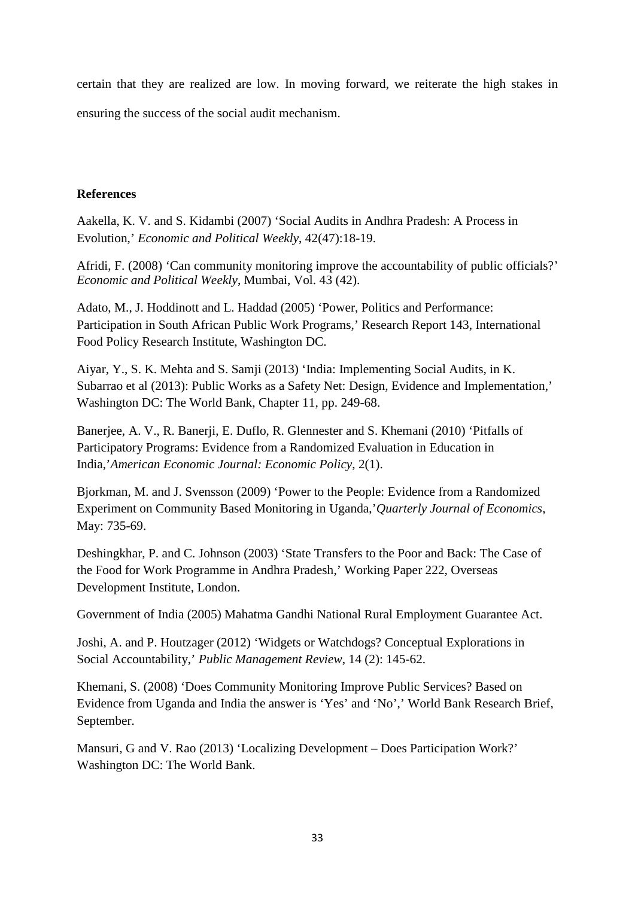certain that they are realized are low. In moving forward, we reiterate the high stakes in ensuring the success of the social audit mechanism.

## **References**

Aakella, K. V. and S. Kidambi (2007) 'Social Audits in Andhra Pradesh: A Process in Evolution,' *Economic and Political Weekly*, 42(47):18-19.

Afridi, F. (2008) 'Can community monitoring improve the accountability of public officials?' *Economic and Political Weekly*, Mumbai, Vol. 43 (42).

Adato, M., J. Hoddinott and L. Haddad (2005) 'Power, Politics and Performance: Participation in South African Public Work Programs,' Research Report 143, International Food Policy Research Institute, Washington DC.

Aiyar, Y., S. K. Mehta and S. Samji (2013) 'India: Implementing Social Audits, in K. Subarrao et al (2013): Public Works as a Safety Net: Design, Evidence and Implementation,' Washington DC: The World Bank, Chapter 11, pp. 249-68.

Banerjee, A. V., R. Banerji, E. Duflo, R. Glennester and S. Khemani (2010) 'Pitfalls of Participatory Programs: Evidence from a Randomized Evaluation in Education in India,'*American Economic Journal: Economic Policy*, 2(1).

Bjorkman, M. and J. Svensson (2009) 'Power to the People: Evidence from a Randomized Experiment on Community Based Monitoring in Uganda,'*Quarterly Journal of Economics*, May: 735-69.

Deshingkhar, P. and C. Johnson (2003) 'State Transfers to the Poor and Back: The Case of the Food for Work Programme in Andhra Pradesh,' Working Paper 222, Overseas Development Institute, London.

Government of India (2005) Mahatma Gandhi National Rural Employment Guarantee Act.

Joshi, A. and P. Houtzager (2012) 'Widgets or Watchdogs? Conceptual Explorations in Social Accountability,' *Public Management Review*, 14 (2): 145-62.

Khemani, S. (2008) 'Does Community Monitoring Improve Public Services? Based on Evidence from Uganda and India the answer is 'Yes' and 'No',' World Bank Research Brief, September.

Mansuri, G and V. Rao (2013) 'Localizing Development – Does Participation Work?' Washington DC: The World Bank.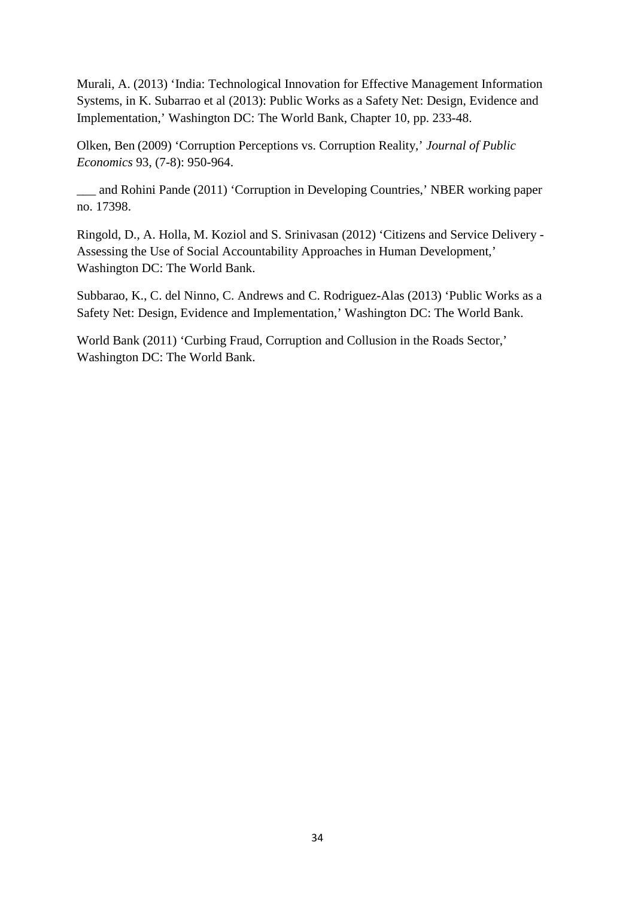Murali, A. (2013) 'India: Technological Innovation for Effective Management Information Systems, in K. Subarrao et al (2013): Public Works as a Safety Net: Design, Evidence and Implementation,' Washington DC: The World Bank, Chapter 10, pp. 233-48.

Olken, Ben (2009) 'Corruption Perceptions vs. Corruption Reality,' *Journal of Public Economics* 93, (7-8): 950-964.

\_\_\_ and Rohini Pande (2011) 'Corruption in Developing Countries,' NBER working paper no. 17398.

Ringold, D., A. Holla, M. Koziol and S. Srinivasan (2012) 'Citizens and Service Delivery - Assessing the Use of Social Accountability Approaches in Human Development,' Washington DC: The World Bank.

Subbarao, K., C. del Ninno, C. Andrews and C. Rodriguez-Alas (2013) 'Public Works as a Safety Net: Design, Evidence and Implementation,' Washington DC: The World Bank.

World Bank (2011) 'Curbing Fraud, Corruption and Collusion in the Roads Sector,' Washington DC: The World Bank.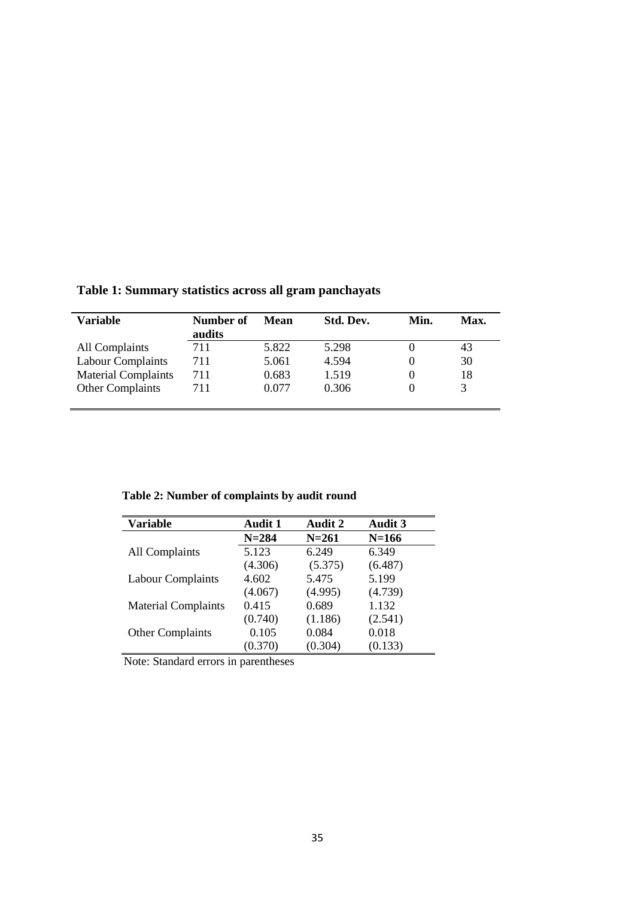| Variable                   | Number of<br>audits | Mean  | Std. Dev. | Min. | Max. |
|----------------------------|---------------------|-------|-----------|------|------|
| All Complaints             | 711                 | 5.822 | 5.298     |      | 43   |
| <b>Labour Complaints</b>   | 711                 | 5.061 | 4.594     |      | 30   |
| <b>Material Complaints</b> | 711                 | 0.683 | 1.519     |      | 18   |
| <b>Other Complaints</b>    | 711                 | 0.077 | 0.306     |      |      |

**Table 1: Summary statistics across all gram panchayats**

# **Table 2: Number of complaints by audit round**

| <b>Variable</b>            | Audit 1   | <b>Audit 2</b> | <b>Audit 3</b> |
|----------------------------|-----------|----------------|----------------|
|                            | $N = 284$ | $N = 261$      | $N = 166$      |
| <b>All Complaints</b>      | 5.123     | 6.249          | 6.349          |
|                            | (4.306)   | (5.375)        | (6.487)        |
| Labour Complaints          | 4.602     | 5.475          | 5.199          |
|                            | (4.067)   | (4.995)        | (4.739)        |
| <b>Material Complaints</b> | 0.415     | 0.689          | 1.132          |
|                            | (0.740)   | (1.186)        | (2.541)        |
| <b>Other Complaints</b>    | 0.105     | 0.084          | 0.018          |
|                            | (0.370)   | (0.304)        | (0.133)        |

Note: Standard errors in parentheses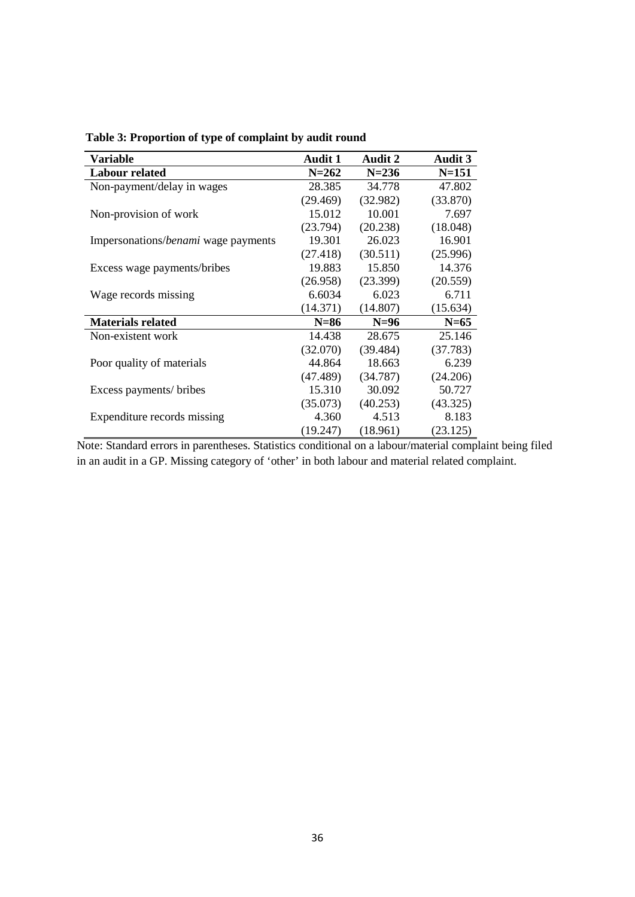| <b>Variable</b>                     | <b>Audit 1</b> | <b>Audit 2</b> | <b>Audit 3</b> |
|-------------------------------------|----------------|----------------|----------------|
| <b>Labour related</b>               | $N = 262$      | $N = 236$      | $N = 151$      |
| Non-payment/delay in wages          | 28.385         | 34.778         | 47.802         |
|                                     | (29.469)       | (32.982)       | (33.870)       |
| Non-provision of work               | 15.012         | 10.001         | 7.697          |
|                                     | (23.794)       | (20.238)       | (18.048)       |
| Impersonations/benami wage payments | 19.301         | 26.023         | 16.901         |
|                                     | (27.418)       | (30.511)       | (25.996)       |
| Excess wage payments/bribes         | 19.883         | 15.850         | 14.376         |
|                                     | (26.958)       | (23.399)       | (20.559)       |
| Wage records missing                | 6.6034         | 6.023          | 6.711          |
|                                     | (14.371)       | (14.807)       | (15.634)       |
| <b>Materials related</b>            | $N=86$         | $N=96$         | $N=65$         |
| Non-existent work                   | 14.438         | 28.675         | 25.146         |
|                                     | (32.070)       | (39.484)       | (37.783)       |
| Poor quality of materials           | 44.864         | 18.663         | 6.239          |
|                                     | (47.489)       | (34.787)       | (24.206)       |
| Excess payments/ bribes             | 15.310         | 30.092         | 50.727         |
|                                     | (35.073)       | (40.253)       | (43.325)       |
| Expenditure records missing         | 4.360          | 4.513          | 8.183          |
|                                     | (19.247)       | (18.961)       | (23.125)       |

 **Table 3: Proportion of type of complaint by audit round**

Note: Standard errors in parentheses. Statistics conditional on a labour/material complaint being filed in an audit in a GP. Missing category of 'other' in both labour and material related complaint.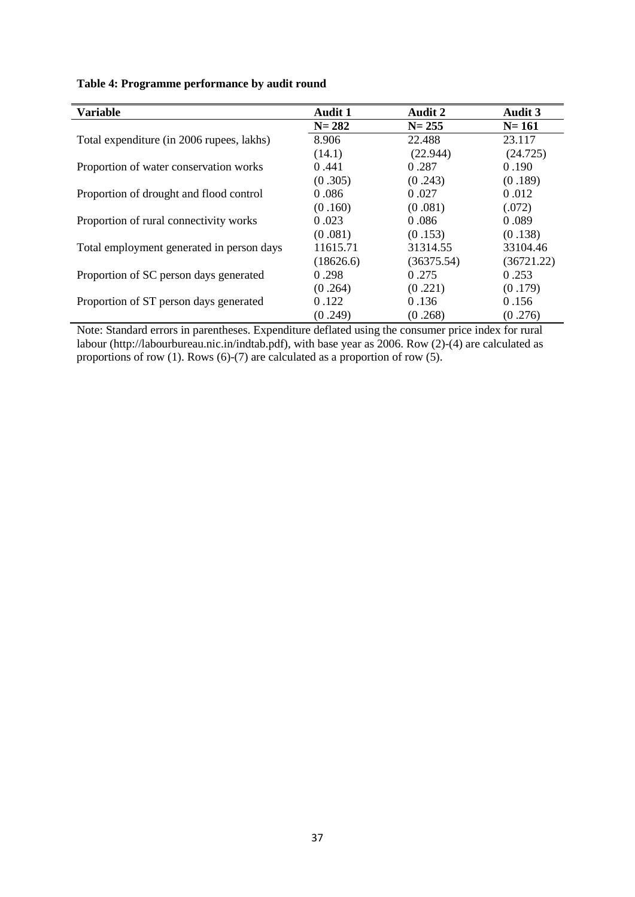| <b>Variable</b>                           | <b>Audit 1</b> | <b>Audit 2</b> | <b>Audit 3</b> |
|-------------------------------------------|----------------|----------------|----------------|
|                                           | $N = 282$      | $N = 255$      | $N = 161$      |
| Total expenditure (in 2006 rupees, lakhs) | 8.906          | 22.488         | 23.117         |
|                                           | (14.1)         | (22.944)       | (24.725)       |
| Proportion of water conservation works    | 0.441          | 0.287          | 0.190          |
|                                           | (0.305)        | (0.243)        | (0.189)        |
| Proportion of drought and flood control   | 0.086          | 0.027          | 0.012          |
|                                           | (0.160)        | (0.081)        | (.072)         |
| Proportion of rural connectivity works    | 0.023          | 0.086          | 0.089          |
|                                           | (0.081)        | (0.153)        | (0.138)        |
| Total employment generated in person days | 11615.71       | 31314.55       | 33104.46       |
|                                           | (18626.6)      | (36375.54)     | (36721.22)     |
| Proportion of SC person days generated    | 0.298          | 0.275          | 0.253          |
|                                           | (0.264)        | (0.221)        | (0.179)        |
| Proportion of ST person days generated    | 0.122          | 0.136          | 0.156          |
|                                           | (0.249)        | (0.268)        | (0.276)        |

## **Table 4: Programme performance by audit round**

Note: Standard errors in parentheses. Expenditure deflated using the consumer price index for rural labour (http://labourbureau.nic.in/indtab.pdf), with base year as 2006. Row (2)-(4) are calculated as proportions of row (1). Rows (6)-(7) are calculated as a proportion of row (5).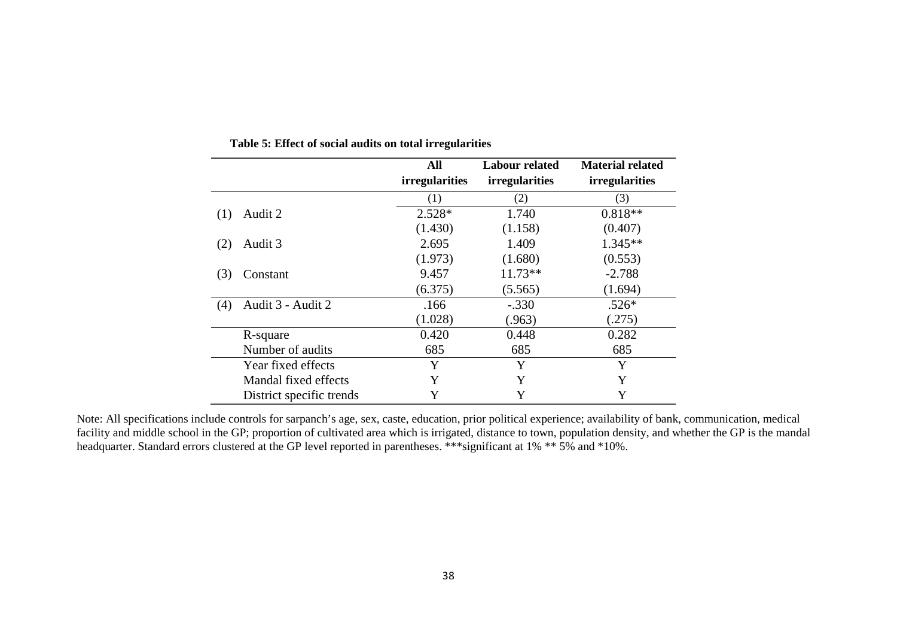|                          | All                   | <b>Labour related</b> | <b>Material related</b> |
|--------------------------|-----------------------|-----------------------|-------------------------|
|                          | <i>irregularities</i> | <i>irregularities</i> | <i>irregularities</i>   |
|                          | (1)                   | (2)                   | (3)                     |
| Audit 2<br>(1)           | $2.528*$              | 1.740                 | $0.818**$               |
|                          | (1.430)               | (1.158)               | (0.407)                 |
| Audit 3<br>(2)           | 2.695                 | 1.409                 | $1.345**$               |
|                          | (1.973)               | (1.680)               | (0.553)                 |
| (3)<br>Constant          | 9.457                 | $11.73**$             | $-2.788$                |
|                          | (6.375)               | (5.565)               | (1.694)                 |
| Audit 3 - Audit 2<br>(4) | .166                  | $-.330$               | $.526*$                 |
|                          | (1.028)               | (.963)                | (.275)                  |
| R-square                 | 0.420                 | 0.448                 | 0.282                   |
| Number of audits         | 685                   | 685                   | 685                     |
| Year fixed effects       | Y                     | Y                     | Y                       |
| Mandal fixed effects     | Y                     | Y                     | Y                       |
| District specific trends | Y                     | Y                     | Y                       |

**Table 5: Effect of social audits on total irregularities**

Note: All specifications include controls for sarpanch's age, sex, caste, education, prior political experience; availability of bank, communication, medical facility and middle school in the GP; proportion of cultivated area which is irrigated, distance to town, population density, and whether the GP is the mandal headquarter. Standard errors clustered at the GP level reported in parentheses. \*\*\* significant at 1% \*\* 5% and \*10%.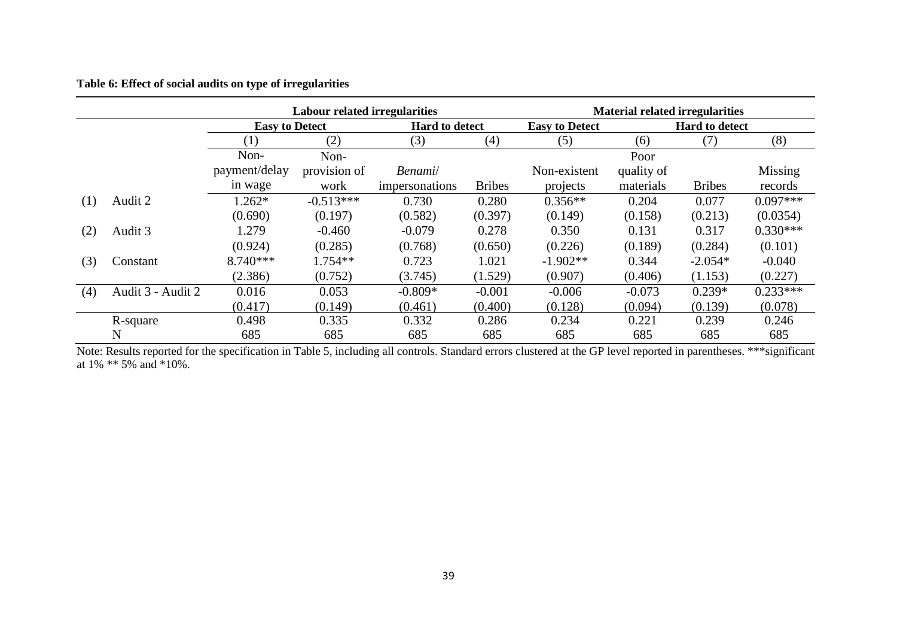#### **Table 6: Effect of social audits on type of irregularities**

|     |                   |                       | <b>Labour related irregularities</b> |                       |               |                       | <b>Material related irregularities</b> |                       |            |
|-----|-------------------|-----------------------|--------------------------------------|-----------------------|---------------|-----------------------|----------------------------------------|-----------------------|------------|
|     |                   | <b>Easy to Detect</b> |                                      | <b>Hard to detect</b> |               | <b>Easy to Detect</b> |                                        | <b>Hard to detect</b> |            |
|     |                   | (1)                   | (2)                                  | (3)                   | (4)           | (5)                   | (6)                                    | (7)                   | (8)        |
|     |                   | Non-                  | Non-                                 |                       |               |                       | Poor                                   |                       |            |
|     |                   | payment/delay         | provision of                         | Benami/               |               | Non-existent          | quality of                             |                       | Missing    |
|     |                   | in wage               | work                                 | impersonations        | <b>Bribes</b> | projects              | materials                              | <b>Bribes</b>         | records    |
| (1) | Audit 2           | $1.262*$              | $-0.513***$                          | 0.730                 | 0.280         | $0.356**$             | 0.204                                  | 0.077                 | $0.097***$ |
|     |                   | (0.690)               | (0.197)                              | (0.582)               | (0.397)       | (0.149)               | (0.158)                                | (0.213)               | (0.0354)   |
| (2) | Audit 3           | 1.279                 | $-0.460$                             | $-0.079$              | 0.278         | 0.350                 | 0.131                                  | 0.317                 | $0.330***$ |
|     |                   | (0.924)               | (0.285)                              | (0.768)               | (0.650)       | (0.226)               | (0.189)                                | (0.284)               | (0.101)    |
| (3) | Constant          | $8.740***$            | $1.754**$                            | 0.723                 | 1.021         | $-1.902**$            | 0.344                                  | $-2.054*$             | $-0.040$   |
|     |                   | (2.386)               | (0.752)                              | (3.745)               | (1.529)       | (0.907)               | (0.406)                                | (1.153)               | (0.227)    |
| (4) | Audit 3 - Audit 2 | 0.016                 | 0.053                                | $-0.809*$             | $-0.001$      | $-0.006$              | $-0.073$                               | $0.239*$              | $0.233***$ |
|     |                   | (0.417)               | (0.149)                              | (0.461)               | (0.400)       | (0.128)               | (0.094)                                | (0.139)               | (0.078)    |
|     | R-square          | 0.498                 | 0.335                                | 0.332                 | 0.286         | 0.234                 | 0.221                                  | 0.239                 | 0.246      |
|     | N                 | 685                   | 685                                  | 685                   | 685           | 685                   | 685                                    | 685                   | 685        |

Note: Results reported for the specification in Table 5, including all controls. Standard errors clustered at the GP level reported in parentheses. \*\*\*significant at 1% \*\* 5% and \*10%.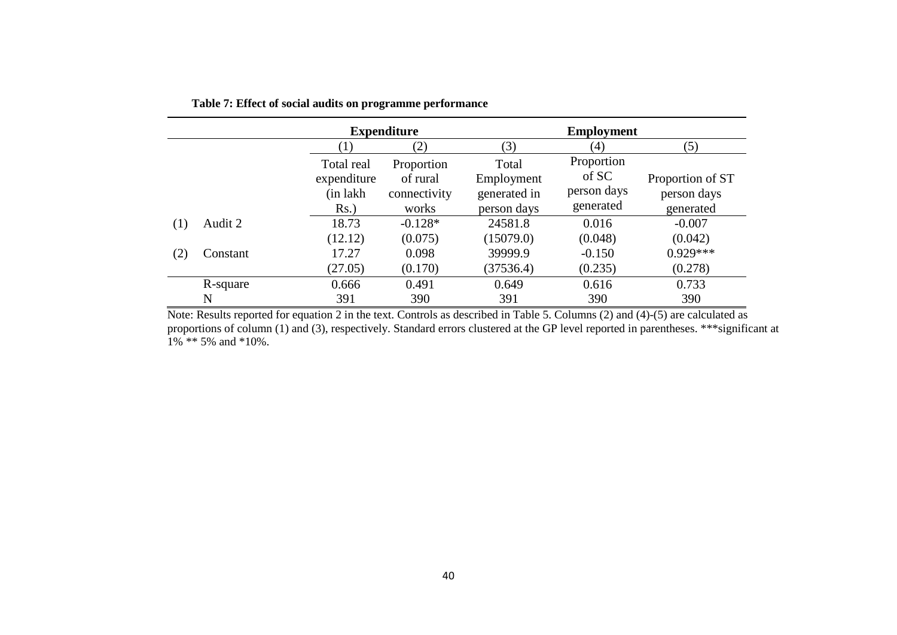|     |          |             | <b>Expenditure</b> |              | <b>Employment</b> |                  |
|-----|----------|-------------|--------------------|--------------|-------------------|------------------|
|     |          |             | (2)                | (3)          | $\left( 4\right)$ | (5)              |
|     |          | Total real  | Proportion         | Total        | Proportion        |                  |
|     |          | expenditure | of rural           | Employment   | of SC             | Proportion of ST |
|     |          | (in lakh    | connectivity       | generated in | person days       | person days      |
|     |          | $Rs.$ )     | works              | person days  | generated         | generated        |
| (1) | Audit 2  | 18.73       | $-0.128*$          | 24581.8      | 0.016             | $-0.007$         |
|     |          | (12.12)     | (0.075)            | (15079.0)    | (0.048)           | (0.042)          |
| (2) | Constant | 17.27       | 0.098              | 39999.9      | $-0.150$          | $0.929***$       |
|     |          | (27.05)     | (0.170)            | (37536.4)    | (0.235)           | (0.278)          |
|     | R-square | 0.666       | 0.491              | 0.649        | 0.616             | 0.733            |
|     | N        | 391         | 390                | 391          | 390               | 390              |

**Table 7: Effect of social audits on programme performance**

Note: Results reported for equation 2 in the text. Controls as described in Table 5. Columns (2) and (4)-(5) are calculated as proportions of column (1) and (3), respectively. Standard errors clustered at the GP level reported in parentheses. \*\*\*significant at  $1\%$  \*\* 5% and \*10%.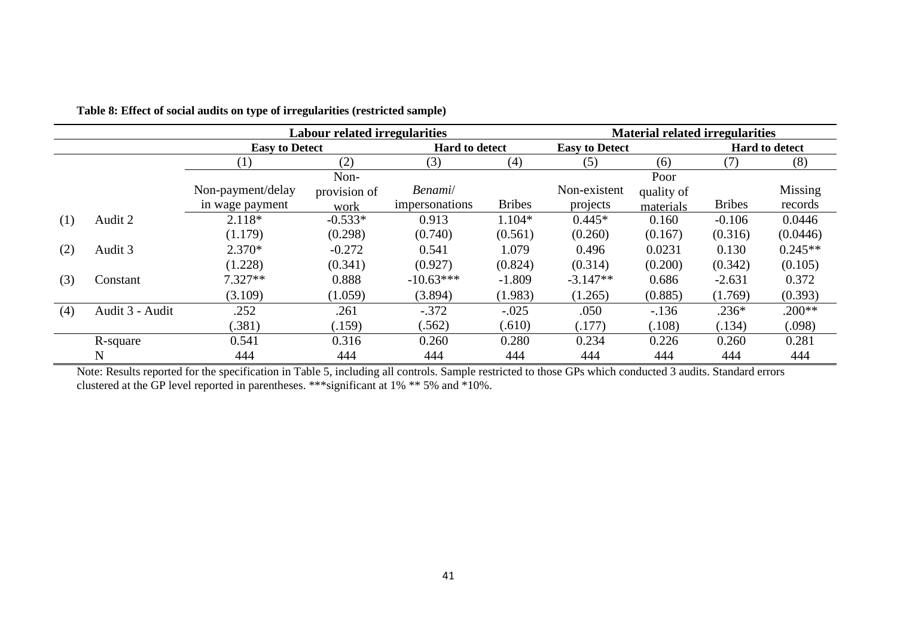|     |                 |                       | Labour related irregularities |                       |               |                       | <b>Material related irregularities</b> |               |                |
|-----|-----------------|-----------------------|-------------------------------|-----------------------|---------------|-----------------------|----------------------------------------|---------------|----------------|
|     |                 | <b>Easy to Detect</b> |                               | <b>Hard to detect</b> |               | <b>Easy to Detect</b> |                                        |               | Hard to detect |
|     |                 | $\left(1\right)$      | (2)                           | (3)                   | (4)           | (5)                   | (6)                                    | (7)           | (8)            |
|     |                 |                       | Non-                          |                       |               |                       | Poor                                   |               |                |
|     |                 | Non-payment/delay     | provision of                  | Benami/               |               | Non-existent          | quality of                             |               | Missing        |
|     |                 | in wage payment       | work                          | impersonations        | <b>Bribes</b> | projects              | materials                              | <b>Bribes</b> | records        |
| (1) | Audit 2         | $2.118*$              | $-0.533*$                     | 0.913                 | 1.104*        | $0.445*$              | 0.160                                  | $-0.106$      | 0.0446         |
|     |                 | (1.179)               | (0.298)                       | (0.740)               | (0.561)       | (0.260)               | (0.167)                                | (0.316)       | (0.0446)       |
| (2) | Audit 3         | $2.370*$              | $-0.272$                      | 0.541                 | 1.079         | 0.496                 | 0.0231                                 | 0.130         | $0.245**$      |
|     |                 | (1.228)               | (0.341)                       | (0.927)               | (0.824)       | (0.314)               | (0.200)                                | (0.342)       | (0.105)        |
| (3) | Constant        | $7.327**$             | 0.888                         | $-10.63***$           | $-1.809$      | $-3.147**$            | 0.686                                  | $-2.631$      | 0.372          |
|     |                 | (3.109)               | (1.059)                       | (3.894)               | (1.983)       | (1.265)               | (0.885)                                | (1.769)       | (0.393)        |
| (4) | Audit 3 - Audit | .252                  | .261                          | $-.372$               | $-.025$       | .050                  | $-136$                                 | $.236*$       | $.200**$       |
|     |                 | (.381)                | (.159)                        | (.562)                | (.610)        | (.177)                | (.108)                                 | (.134)        | (.098)         |
|     | R-square        | 0.541                 | 0.316                         | 0.260                 | 0.280         | 0.234                 | 0.226                                  | 0.260         | 0.281          |
|     | $\mathbf N$     | 444                   | 444                           | 444                   | 444           | 444                   | 444                                    | 444           | 444            |

**Table 8: Effect of social audits on type of irregularities (restricted sample)**

Note: Results reported for the specification in Table 5, including all controls. Sample restricted to those GPs which conducted 3 audits. Standard errors clustered at the GP level reported in parentheses. \*\*\*significant at 1% \*\* 5% and \*10%.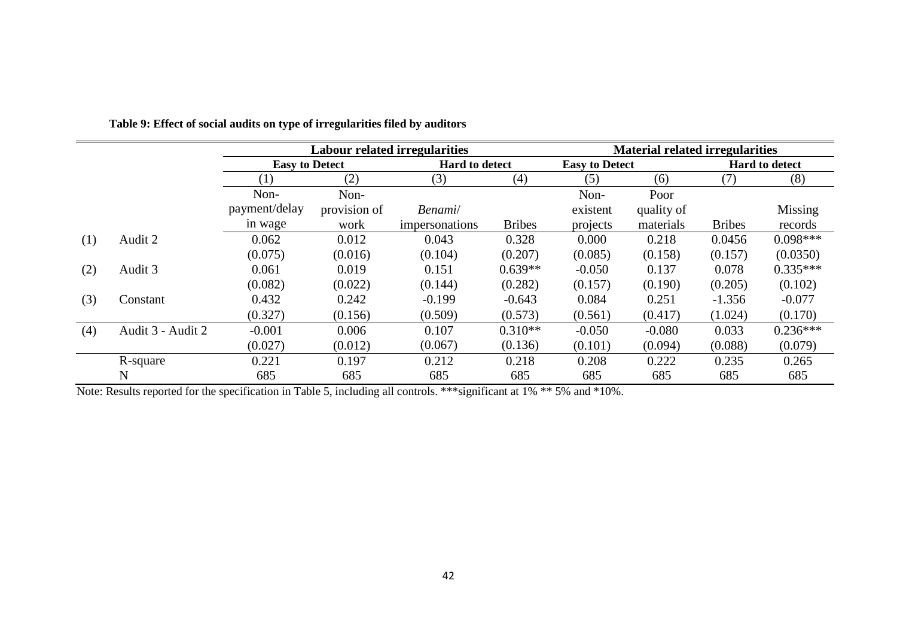|     |                   |                       | <b>Labour related irregularities</b> |                       |               | <b>Material related irregularities</b> |            |               |                       |  |
|-----|-------------------|-----------------------|--------------------------------------|-----------------------|---------------|----------------------------------------|------------|---------------|-----------------------|--|
|     |                   | <b>Easy to Detect</b> |                                      | <b>Hard to detect</b> |               | <b>Easy to Detect</b>                  |            |               | <b>Hard to detect</b> |  |
|     |                   | (1)                   | (2)                                  | (3)                   | (4)           | (5)                                    | (6)        | (7)           | (8)                   |  |
|     |                   | Non-                  | Non-                                 |                       |               | Non-                                   | Poor       |               |                       |  |
|     |                   | payment/delay         | provision of                         | Benami/               |               | existent                               | quality of |               | Missing               |  |
|     |                   | in wage               | work                                 | impersonations        | <b>Bribes</b> | projects                               | materials  | <b>Bribes</b> | records               |  |
| (1) | Audit 2           | 0.062                 | 0.012                                | 0.043                 | 0.328         | 0.000                                  | 0.218      | 0.0456        | $0.098***$            |  |
|     |                   | (0.075)               | (0.016)                              | (0.104)               | (0.207)       | (0.085)                                | (0.158)    | (0.157)       | (0.0350)              |  |
| (2) | Audit 3           | 0.061                 | 0.019                                | 0.151                 | $0.639**$     | $-0.050$                               | 0.137      | 0.078         | $0.335***$            |  |
|     |                   | (0.082)               | (0.022)                              | (0.144)               | (0.282)       | (0.157)                                | (0.190)    | (0.205)       | (0.102)               |  |
| (3) | Constant          | 0.432                 | 0.242                                | $-0.199$              | $-0.643$      | 0.084                                  | 0.251      | $-1.356$      | $-0.077$              |  |
|     |                   | (0.327)               | (0.156)                              | (0.509)               | (0.573)       | (0.561)                                | (0.417)    | (1.024)       | (0.170)               |  |
| (4) | Audit 3 - Audit 2 | $-0.001$              | 0.006                                | 0.107                 | $0.310**$     | $-0.050$                               | $-0.080$   | 0.033         | $0.236***$            |  |
|     |                   | (0.027)               | (0.012)                              | (0.067)               | (0.136)       | (0.101)                                | (0.094)    | (0.088)       | (0.079)               |  |
|     | R-square          | 0.221                 | 0.197                                | 0.212                 | 0.218         | 0.208                                  | 0.222      | 0.235         | 0.265                 |  |
|     | N                 | 685                   | 685                                  | 685                   | 685           | 685                                    | 685        | 685           | 685                   |  |

 **Table 9: Effect of social audits on type of irregularities filed by auditors**

Note: Results reported for the specification in Table 5, including all controls. \*\*\*significant at 1% \*\* 5% and \*10%.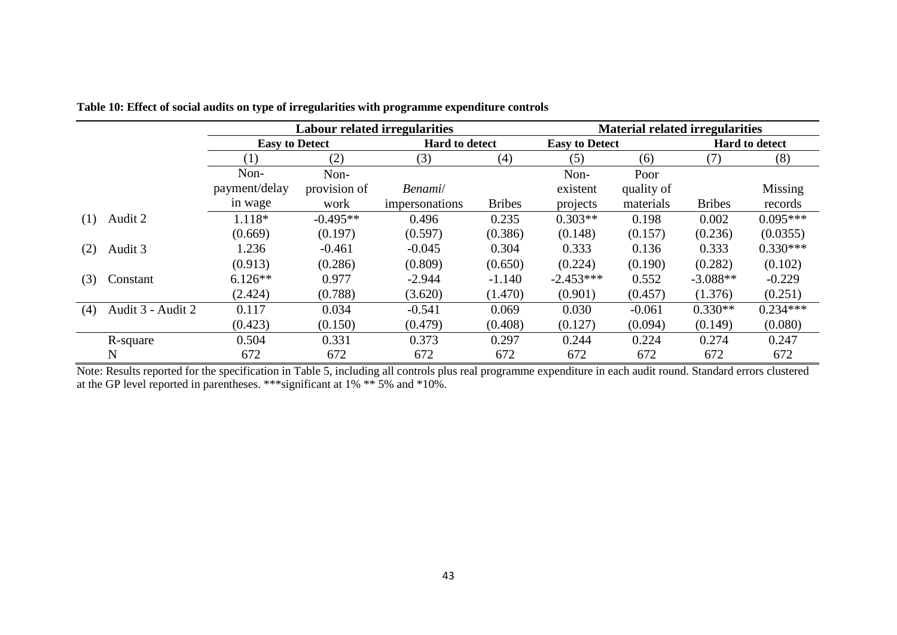|     |                   |                       | <b>Labour related irregularities</b> |                       |               |                       | <b>Material related irregularities</b> |               |                       |
|-----|-------------------|-----------------------|--------------------------------------|-----------------------|---------------|-----------------------|----------------------------------------|---------------|-----------------------|
|     |                   | <b>Easy to Detect</b> |                                      | <b>Hard to detect</b> |               | <b>Easy to Detect</b> |                                        |               | <b>Hard to detect</b> |
|     |                   | (1)                   | (2)                                  | (3)                   | (4)           | (5)                   | (6)                                    | (7)           | (8)                   |
|     |                   | Non-                  | Non-                                 |                       |               | Non-                  | Poor                                   |               |                       |
|     |                   | payment/delay         | provision of                         | Benami/               |               | existent              | quality of                             |               | Missing               |
|     |                   | in wage               | work                                 | impersonations        | <b>Bribes</b> | projects              | materials                              | <b>Bribes</b> | records               |
| (1) | Audit 2           | 1.118*                | $-0.495**$                           | 0.496                 | 0.235         | $0.303**$             | 0.198                                  | 0.002         | $0.095***$            |
|     |                   | (0.669)               | (0.197)                              | (0.597)               | (0.386)       | (0.148)               | (0.157)                                | (0.236)       | (0.0355)              |
| (2) | Audit 3           | 1.236                 | $-0.461$                             | $-0.045$              | 0.304         | 0.333                 | 0.136                                  | 0.333         | $0.330***$            |
|     |                   | (0.913)               | (0.286)                              | (0.809)               | (0.650)       | (0.224)               | (0.190)                                | (0.282)       | (0.102)               |
| (3) | Constant          | $6.126**$             | 0.977                                | $-2.944$              | $-1.140$      | $-2.453***$           | 0.552                                  | $-3.088**$    | $-0.229$              |
|     |                   | (2.424)               | (0.788)                              | (3.620)               | (1.470)       | (0.901)               | (0.457)                                | (1.376)       | (0.251)               |
| (4) | Audit 3 - Audit 2 | 0.117                 | 0.034                                | $-0.541$              | 0.069         | 0.030                 | $-0.061$                               | $0.330**$     | $0.234***$            |
|     |                   | (0.423)               | (0.150)                              | (0.479)               | (0.408)       | (0.127)               | (0.094)                                | (0.149)       | (0.080)               |
|     | R-square          | 0.504                 | 0.331                                | 0.373                 | 0.297         | 0.244                 | 0.224                                  | 0.274         | 0.247                 |
|     | N                 | 672                   | 672                                  | 672                   | 672           | 672                   | 672                                    | 672           | 672                   |

**Table 10: Effect of social audits on type of irregularities with programme expenditure controls**

Note: Results reported for the specification in Table 5, including all controls plus real programme expenditure in each audit round. Standard errors clustered at the GP level reported in parentheses. \*\*\*significant at 1% \*\* 5% and \*10%.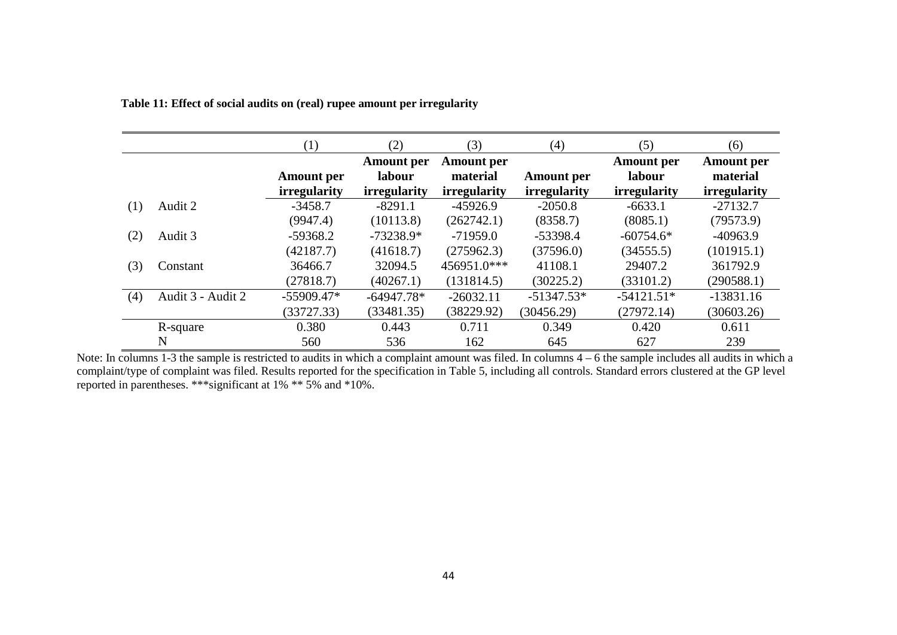|     |                   | (1)                                      | (2)                                                | (3)                                                  | (4)                                      | (5)                                                | (6)                                                  |
|-----|-------------------|------------------------------------------|----------------------------------------------------|------------------------------------------------------|------------------------------------------|----------------------------------------------------|------------------------------------------------------|
|     |                   | <b>Amount</b> per<br><i>irregularity</i> | <b>Amount</b> per<br>labour<br><i>irregularity</i> | <b>Amount</b> per<br>material<br><i>irregularity</i> | <b>Amount</b> per<br><i>irregularity</i> | <b>Amount</b> per<br>labour<br><i>irregularity</i> | <b>Amount</b> per<br>material<br><i>irregularity</i> |
| (1) | Audit 2           | $-3458.7$<br>(9947.4)                    | $-8291.1$<br>(10113.8)                             | $-45926.9$<br>(262742.1)                             | $-2050.8$<br>(8358.7)                    | $-6633.1$<br>(8085.1)                              | $-27132.7$<br>(79573.9)                              |
| (2) | Audit 3           | $-59368.2$<br>(42187.7)                  | $-73238.9*$<br>(41618.7)                           | $-71959.0$<br>(275962.3)                             | $-53398.4$<br>(37596.0)                  | $-60754.6*$<br>(34555.5)                           | $-40963.9$<br>(101915.1)                             |
| (3) | Constant          | 36466.7<br>(27818.7)                     | 32094.5<br>(40267.1)                               | 456951.0***<br>(131814.5)                            | 41108.1<br>(30225.2)                     | 29407.2<br>(33101.2)                               | 361792.9<br>(290588.1)                               |
| (4) | Audit 3 - Audit 2 | $-55909.47*$<br>(33727.33)               | $-64947.78*$<br>(33481.35)                         | $-26032.11$<br>(38229.92)                            | $-51347.53*$<br>(30456.29)               | $-54121.51*$<br>(27972.14)                         | $-13831.16$<br>(30603.26)                            |
|     | R-square<br>N     | 0.380<br>560                             | 0.443<br>536                                       | 0.711<br>162                                         | 0.349<br>645                             | 0.420<br>627                                       | 0.611<br>239                                         |

 **Table 11: Effect of social audits on (real) rupee amount per irregularity**

Note: In columns 1-3 the sample is restricted to audits in which a complaint amount was filed. In columns  $4 - 6$  the sample includes all audits in which a complaint/type of complaint was filed. Results reported for the specification in Table 5, including all controls. Standard errors clustered at the GP level reported in parentheses. \*\*\*significant at 1% \*\* 5% and \*10%.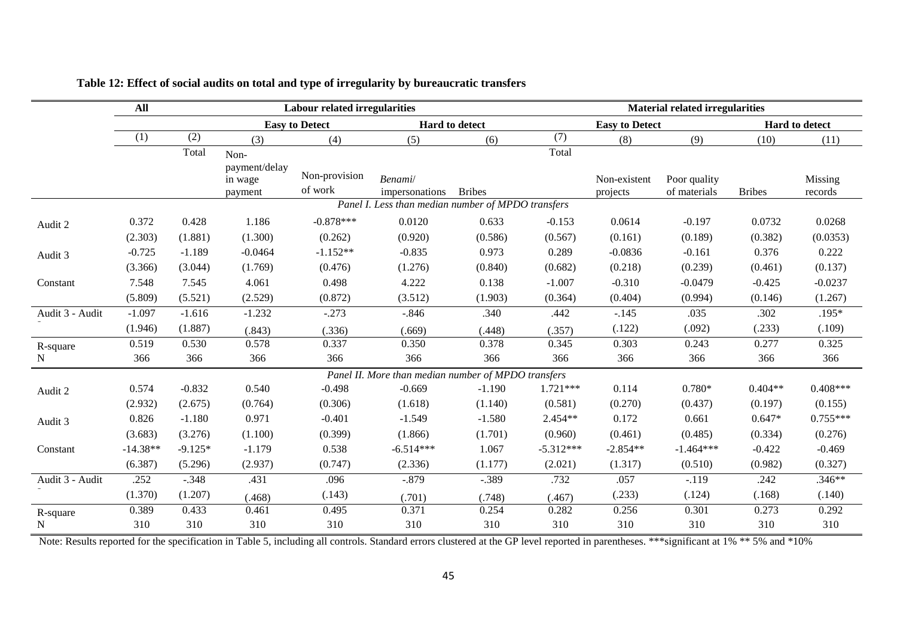|                 | All        |           |                                     | <b>Labour related irregularities</b> |                                                     |                |             |                          | <b>Material related irregularities</b> |               |                    |
|-----------------|------------|-----------|-------------------------------------|--------------------------------------|-----------------------------------------------------|----------------|-------------|--------------------------|----------------------------------------|---------------|--------------------|
|                 |            |           |                                     | <b>Easy to Detect</b>                |                                                     | Hard to detect |             | <b>Easy to Detect</b>    |                                        |               | Hard to detect     |
|                 | (1)        | (2)       | (3)                                 | (4)                                  | (5)                                                 | (6)            | (7)         | (8)                      | (9)                                    | (10)          | (11)               |
|                 |            | Total     | Non-                                |                                      |                                                     |                | Total       |                          |                                        |               |                    |
|                 |            |           | payment/delay<br>in wage<br>payment | Non-provision<br>of work             | Benami/<br>impersonations                           | <b>Bribes</b>  |             | Non-existent<br>projects | Poor quality<br>of materials           | <b>Bribes</b> | Missing<br>records |
|                 |            |           |                                     |                                      | Panel I. Less than median number of MPDO transfers  |                |             |                          |                                        |               |                    |
| Audit 2         | 0.372      | 0.428     | 1.186                               | $-0.878***$                          | 0.0120                                              | 0.633          | $-0.153$    | 0.0614                   | $-0.197$                               | 0.0732        | 0.0268             |
|                 | (2.303)    | (1.881)   | (1.300)                             | (0.262)                              | (0.920)                                             | (0.586)        | (0.567)     | (0.161)                  | (0.189)                                | (0.382)       | (0.0353)           |
| Audit 3         | $-0.725$   | $-1.189$  | $-0.0464$                           | $-1.152**$                           | $-0.835$                                            | 0.973          | 0.289       | $-0.0836$                | $-0.161$                               | 0.376         | 0.222              |
|                 | (3.366)    | (3.044)   | (1.769)                             | (0.476)                              | (1.276)                                             | (0.840)        | (0.682)     | (0.218)                  | (0.239)                                | (0.461)       | (0.137)            |
| Constant        | 7.548      | 7.545     | 4.061                               | 0.498                                | 4.222                                               | 0.138          | $-1.007$    | $-0.310$                 | $-0.0479$                              | $-0.425$      | $-0.0237$          |
|                 | (5.809)    | (5.521)   | (2.529)                             | (0.872)                              | (3.512)                                             | (1.903)        | (0.364)     | (0.404)                  | (0.994)                                | (0.146)       | (1.267)            |
| Audit 3 - Audit | $-1.097$   | $-1.616$  | $-1.232$                            | $-.273$                              | $-.846$                                             | .340           | .442        | $-.145$                  | .035                                   | .302          | $.195*$            |
|                 | (1.946)    | (1.887)   | (.843)                              | (.336)                               | (.669)                                              | (.448)         | (.357)      | (.122)                   | (.092)                                 | (.233)        | (.109)             |
| R-square        | 0.519      | 0.530     | 0.578                               | 0.337                                | 0.350                                               | 0.378          | 0.345       | 0.303                    | 0.243                                  | 0.277         | 0.325              |
| N               | 366        | 366       | 366                                 | 366                                  | 366                                                 | 366            | 366         | 366                      | 366                                    | 366           | 366                |
|                 |            |           |                                     |                                      | Panel II. More than median number of MPDO transfers |                |             |                          |                                        |               |                    |
| Audit 2         | 0.574      | $-0.832$  | 0.540                               | $-0.498$                             | $-0.669$                                            | $-1.190$       | $1.721***$  | 0.114                    | $0.780*$                               | $0.404**$     | $0.408***$         |
|                 | (2.932)    | (2.675)   | (0.764)                             | (0.306)                              | (1.618)                                             | (1.140)        | (0.581)     | (0.270)                  | (0.437)                                | (0.197)       | (0.155)            |
| Audit 3         | 0.826      | $-1.180$  | 0.971                               | $-0.401$                             | $-1.549$                                            | $-1.580$       | 2.454**     | 0.172                    | 0.661                                  | $0.647*$      | $0.755***$         |
|                 | (3.683)    | (3.276)   | (1.100)                             | (0.399)                              | (1.866)                                             | (1.701)        | (0.960)     | (0.461)                  | (0.485)                                | (0.334)       | (0.276)            |
| Constant        | $-14.38**$ | $-9.125*$ | $-1.179$                            | 0.538                                | $-6.514***$                                         | 1.067          | $-5.312***$ | $-2.854**$               | $-1.464***$                            | $-0.422$      | $-0.469$           |
|                 | (6.387)    | (5.296)   | (2.937)                             | (0.747)                              | (2.336)                                             | (1.177)        | (2.021)     | (1.317)                  | (0.510)                                | (0.982)       | (0.327)            |
| Audit 3 - Audit | .252       | $-.348$   | .431                                | .096                                 | $-.879$                                             | $-.389$        | .732        | .057                     | $-.119$                                | .242          | $.346**$           |
|                 | (1.370)    | (1.207)   | (.468)                              | (.143)                               | (.701)                                              | (.748)         | (.467)      | (.233)                   | (.124)                                 | (.168)        | (.140)             |
| R-square        | 0.389      | 0.433     | 0.461                               | 0.495                                | 0.371                                               | 0.254          | 0.282       | 0.256                    | 0.301                                  | 0.273         | 0.292              |
| N               | 310        | 310       | 310                                 | 310                                  | 310                                                 | 310            | 310         | 310                      | 310                                    | 310           | 310                |

## **Table 12: Effect of social audits on total and type of irregularity by bureaucratic transfers**

Note: Results reported for the specification in Table 5, including all controls. Standard errors clustered at the GP level reported in parentheses. \*\*\* significant at 1% \*\* 5% and \*10%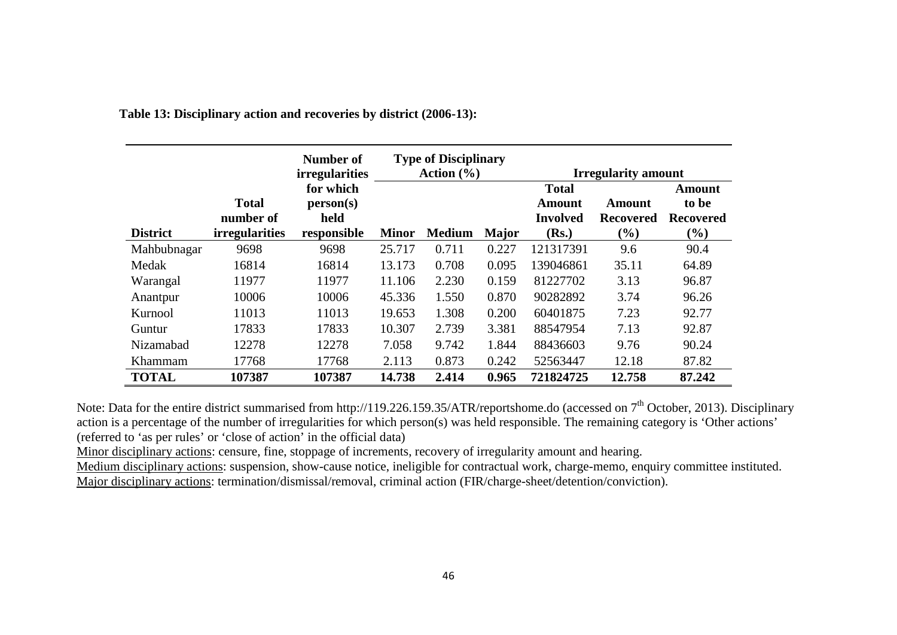|                 |                                                    | Number of<br><i>irregularities</i>            | <b>Type of Disciplinary</b><br>Action $(\% )$ |               |              | <b>Irregularity amount</b>                         |                                      |                                               |
|-----------------|----------------------------------------------------|-----------------------------------------------|-----------------------------------------------|---------------|--------------|----------------------------------------------------|--------------------------------------|-----------------------------------------------|
| <b>District</b> | <b>Total</b><br>number of<br><i>irregularities</i> | for which<br>person(s)<br>held<br>responsible | <b>Minor</b>                                  | <b>Medium</b> | <b>Major</b> | <b>Total</b><br>Amount<br><b>Involved</b><br>(Rs.) | Amount<br><b>Recovered</b><br>$(\%)$ | Amount<br>to be<br><b>Recovered</b><br>$(\%)$ |
| Mahbubnagar     | 9698                                               | 9698                                          | 25.717                                        | 0.711         | 0.227        | 121317391                                          | 9.6                                  | 90.4                                          |
| Medak           | 16814                                              | 16814                                         | 13.173                                        | 0.708         | 0.095        | 139046861                                          | 35.11                                | 64.89                                         |
| Warangal        | 11977                                              | 11977                                         | 11.106                                        | 2.230         | 0.159        | 81227702                                           | 3.13                                 | 96.87                                         |
| Anantpur        | 10006                                              | 10006                                         | 45.336                                        | 1.550         | 0.870        | 90282892                                           | 3.74                                 | 96.26                                         |
| Kurnool         | 11013                                              | 11013                                         | 19.653                                        | 1.308         | 0.200        | 60401875                                           | 7.23                                 | 92.77                                         |
| Guntur          | 17833                                              | 17833                                         | 10.307                                        | 2.739         | 3.381        | 88547954                                           | 7.13                                 | 92.87                                         |
| Nizamabad       | 12278                                              | 12278                                         | 7.058                                         | 9.742         | 1.844        | 88436603                                           | 9.76                                 | 90.24                                         |
| Khammam         | 17768                                              | 17768                                         | 2.113                                         | 0.873         | 0.242        | 52563447                                           | 12.18                                | 87.82                                         |
| <b>TOTAL</b>    | 107387                                             | 107387                                        | 14.738                                        | 2.414         | 0.965        | 721824725                                          | 12.758                               | 87.242                                        |

 **Table 13: Disciplinary action and recoveries by district (2006-13):**

Note: Data for the entire district summarised from http://119.226.159.35/ATR/reportshome.do (accessed on 7<sup>th</sup> October, 2013). Disciplinary action is a percentage of the number of irregularities for which person(s) was held responsible. The remaining category is 'Other actions' (referred to 'as per rules' or 'close of action' in the official data)

Minor disciplinary actions: censure, fine, stoppage of increments, recovery of irregularity amount and hearing.

Medium disciplinary actions: suspension, show-cause notice, ineligible for contractual work, charge-memo, enquiry committee instituted. Major disciplinary actions: termination/dismissal/removal, criminal action (FIR/charge-sheet/detention/conviction).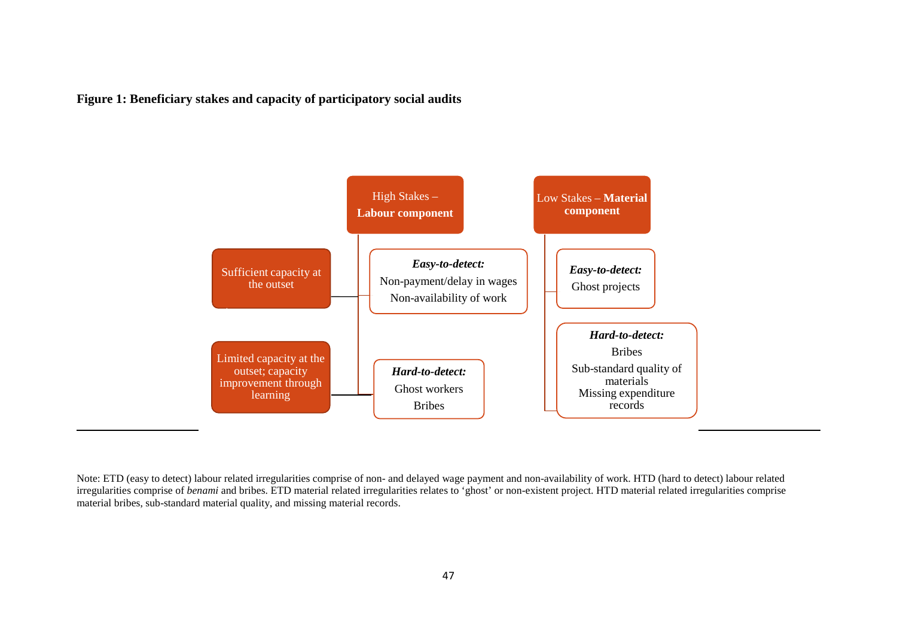**Figure 1: Beneficiary stakes and capacity of participatory social audits** 



Note: ETD (easy to detect) labour related irregularities comprise of non- and delayed wage payment and non-availability of work. HTD (hard to detect) labour related irregularities comprise of *benami* and bribes. ETD material related irregularities relates to 'ghost' or non-existent project. HTD material related irregularities comprise material bribes, sub-standard material quality, and missing material records.